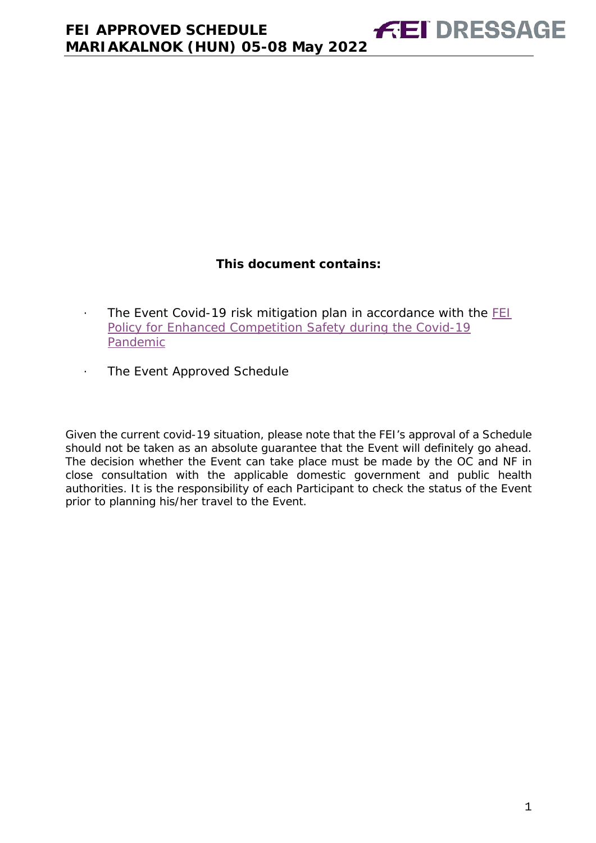# **This document contains:**

- <span id="page-0-0"></span>· The Event Covid-19 risk mitigation plan in accordance with the [FEI](https://inside.fei.org/fei/covid-19/return-to-play)  [Policy for Enhanced Competition Safety during the Covid-19](https://inside.fei.org/fei/covid-19/return-to-play)  [Pandemic](https://inside.fei.org/fei/covid-19/return-to-play)
- · The Event Approved Schedule

*Given the current covid-19 situation, please note that the FEI's approval of a Schedule should not be taken as an absolute guarantee that the Event will definitely go ahead. The decision whether the Event can take place must be made by the OC and NF in close consultation with the applicable domestic government and public health authorities. It is the responsibility of each Participant to check the status of the Event prior to planning his/her travel to the Event.*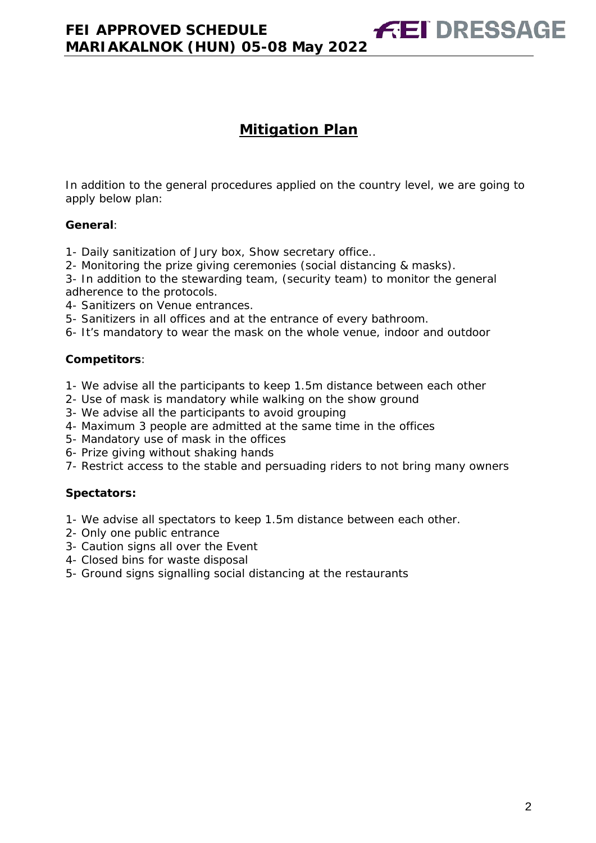**FEI DRESSAGE** 

In addition to the general procedures applied on the country level, we are going to apply below plan:

## **General**:

- 1- Daily sanitization of Jury box, Show secretary office..
- 2- Monitoring the prize giving ceremonies (social distancing & masks).
- 3- In addition to the stewarding team, (security team) to monitor the general adherence to the protocols.
- 4- Sanitizers on Venue entrances.
- 5- Sanitizers in all offices and at the entrance of every bathroom.
- 6- It's mandatory to wear the mask on the whole venue, indoor and outdoor

## **Competitors**:

- 1- We advise all the participants to keep 1.5m distance between each other
- 2- Use of mask is mandatory while walking on the show ground
- 3- We advise all the participants to avoid grouping
- 4- Maximum 3 people are admitted at the same time in the offices
- 5- Mandatory use of mask in the offices
- 6- Prize giving without shaking hands
- 7- Restrict access to the stable and persuading riders to not bring many owners

## **Spectators:**

- 1- We advise all spectators to keep 1.5m distance between each other.
- 2- Only one public entrance
- 3- Caution signs all over the Event
- 4- Closed bins for waste disposal
- 5- Ground signs signalling social distancing at the restaurants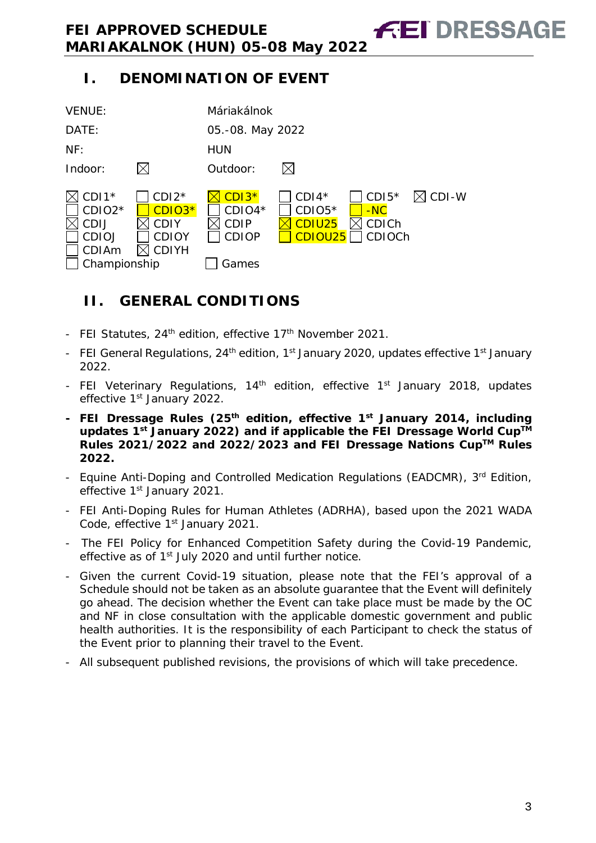# **I. DENOMINATION OF EVENT**



# <span id="page-2-0"></span>**II. GENERAL CONDITIONS**

- FEI Statutes, 24<sup>th</sup> edition, effective 17<sup>th</sup> November 2021.
- FEI General Regulations, 24<sup>th</sup> edition, 1<sup>st</sup> January 2020, updates effective 1<sup>st</sup> January 2022.
- FEI Veterinary Regulations, 14<sup>th</sup> edition, effective 1<sup>st</sup> January 2018, updates effective 1<sup>st</sup> January 2022.
- **- FEI Dressage Rules (25th edition, effective 1st January 2014, including updates 1st January 2022) and if applicable the FEI Dressage World CupTM Rules 2021/2022 and 2022/2023 and FEI Dressage Nations CupTM Rules 2022.**
- Equine Anti-Doping and Controlled Medication Regulations (EADCMR), 3rd Edition, effective 1<sup>st</sup> January 2021.
- FEI Anti-Doping Rules for Human Athletes (ADRHA), based upon the 2021 WADA Code, effective 1<sup>st</sup> January 2021.
- The FEI Policy for Enhanced Competition Safety during the Covid-19 Pandemic, effective as of 1<sup>st</sup> July 2020 and until further notice.
- Given the current Covid-19 situation, please note that the FEI's approval of a Schedule should not be taken as an absolute guarantee that the Event will definitely go ahead. The decision whether the Event can take place must be made by the OC and NF in close consultation with the applicable domestic government and public health authorities. It is the responsibility of each Participant to check the status of the Event prior to planning their travel to the Event.
- All subsequent published revisions, the provisions of which will take precedence.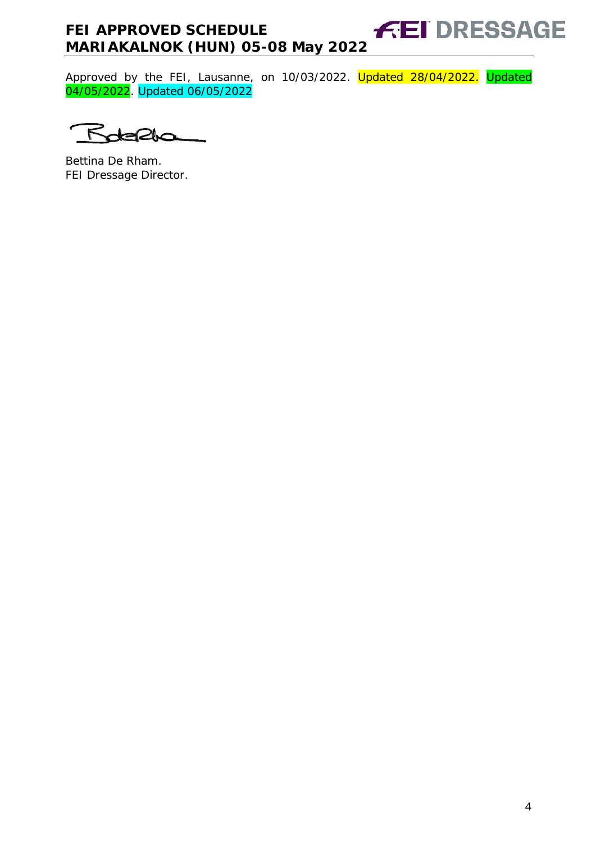#### **FEI DRESSAGE FEI APPROVED SCHEDULE MARIAKALNOK (HUN) 05-08 May 2022**

Approved by the FEI, Lausanne, on 10/03/2022. <mark>Updated 28/04/2022.</mark> Updated 04/05/2022. Updated 06/05/2022

 $\kappa$ 

Bettina De Rham. FEI Dressage Director.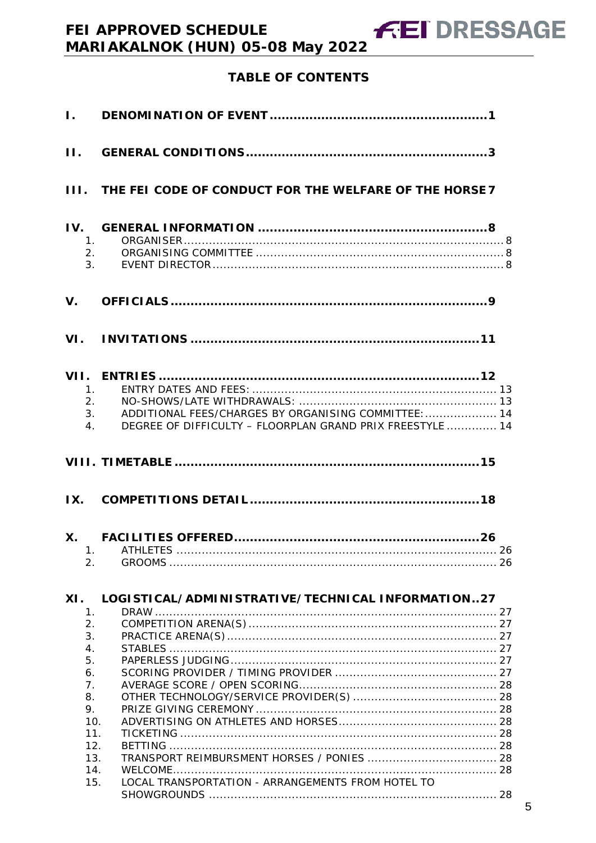# **TABLE OF CONTENTS**

| $\mathbf{I}$ .                                                                                     |                                                                                                                         |  |
|----------------------------------------------------------------------------------------------------|-------------------------------------------------------------------------------------------------------------------------|--|
| $\Pi$ .                                                                                            |                                                                                                                         |  |
|                                                                                                    | III. THE FEI CODE OF CONDUCT FOR THE WELFARE OF THE HORSE 7                                                             |  |
| 1.<br>2.<br>3.                                                                                     |                                                                                                                         |  |
| $V_{\cdot}$                                                                                        |                                                                                                                         |  |
|                                                                                                    |                                                                                                                         |  |
| 1 <sub>1</sub><br>2.<br>4.                                                                         | ADDITIONAL FEES/CHARGES BY ORGANISING COMMITTEE:  14<br>3.<br>DEGREE OF DIFFICULTY - FLOORPLAN GRAND PRIX FREESTYLE  14 |  |
|                                                                                                    |                                                                                                                         |  |
|                                                                                                    |                                                                                                                         |  |
| 2.                                                                                                 |                                                                                                                         |  |
| XI.<br>1.                                                                                          | LOGISTICAL/ADMINISTRATIVE/TECHNICAL INFORMATION27                                                                       |  |
| 2.<br>3.<br>4.<br>5.<br>6.<br>7 <sub>1</sub><br>8.<br>9.<br>10.<br>11.<br>12.<br>13.<br>14.<br>15. | LOCAL TRANSPORTATION - ARRANGEMENTS FROM HOTEL TO                                                                       |  |
|                                                                                                    |                                                                                                                         |  |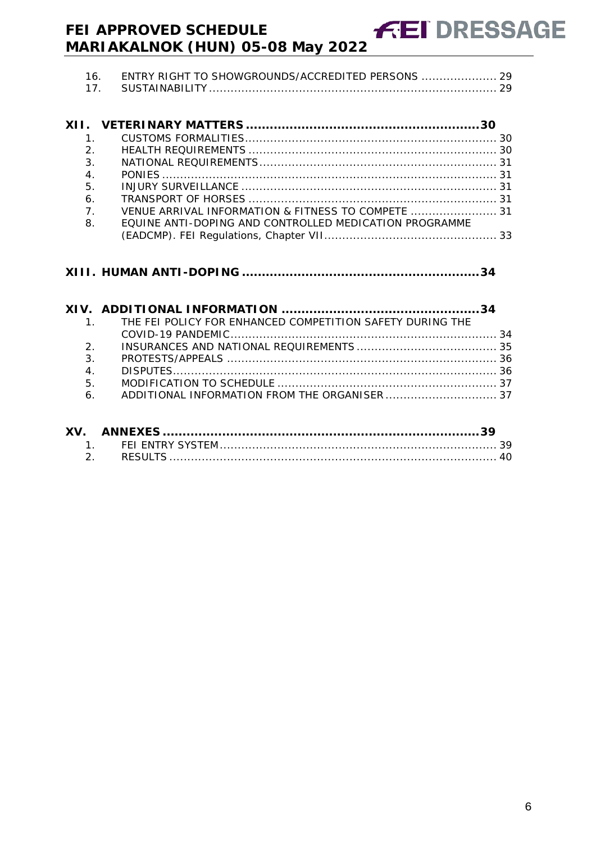| ENTRY RIGHT TO SHOWGROUNDS/ACCREDITED PERSONS  29 |  |
|---------------------------------------------------|--|
|                                                   |  |

**FEI DRESSAGE** 

| $\mathbf{1}$                                                         |  |
|----------------------------------------------------------------------|--|
| $\mathcal{P}$                                                        |  |
| 3.                                                                   |  |
|                                                                      |  |
|                                                                      |  |
|                                                                      |  |
| $\overline{7}$<br>VENUE ARRIVAL INFORMATION & FITNESS TO COMPETE  31 |  |
| FOUINE ANTI-DOPING AND CONTROLLED MEDICATION PROGRAMME               |  |
|                                                                      |  |
|                                                                      |  |

**XIII. HUMAN ANTI-DOPING [............................................................34](#page-32-1)**

|    | 1. THE FEI POLICY FOR ENHANCED COMPETITION SAFETY DURING THE |  |
|----|--------------------------------------------------------------|--|
|    |                                                              |  |
|    | $2^{\circ}$                                                  |  |
| 3. |                                                              |  |
|    | 4.                                                           |  |
| 5. |                                                              |  |
|    |                                                              |  |
|    |                                                              |  |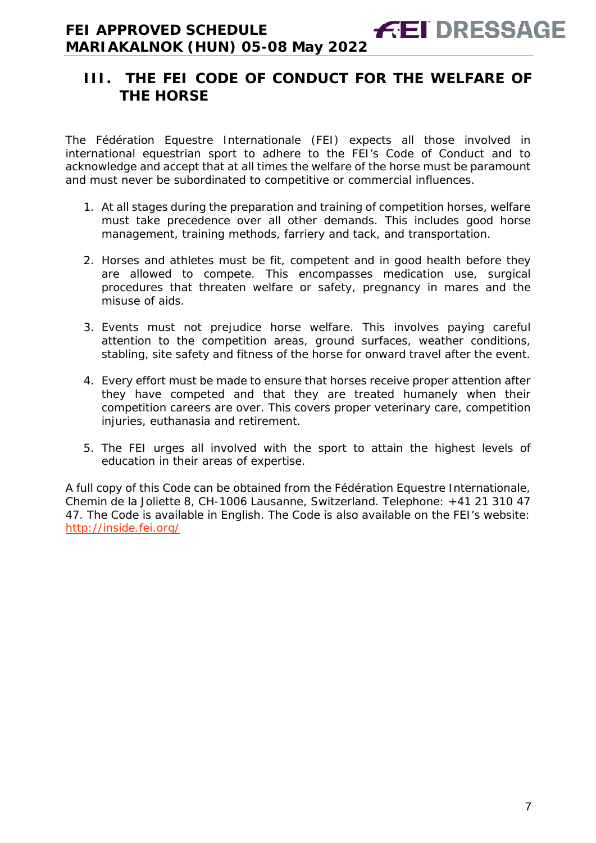# <span id="page-6-0"></span>**III. THE FEI CODE OF CONDUCT FOR THE WELFARE OF THE HORSE**

The Fédération Equestre Internationale (FEI) expects all those involved in international equestrian sport to adhere to the FEI's Code of Conduct and to acknowledge and accept that at all times the welfare of the horse must be paramount and must never be subordinated to competitive or commercial influences.

- 1. At all stages during the preparation and training of competition horses, welfare must take precedence over all other demands. This includes good horse management, training methods, farriery and tack, and transportation.
- 2. Horses and athletes must be fit, competent and in good health before they are allowed to compete. This encompasses medication use, surgical procedures that threaten welfare or safety, pregnancy in mares and the misuse of aids.
- 3. Events must not prejudice horse welfare. This involves paying careful attention to the competition areas, ground surfaces, weather conditions, stabling, site safety and fitness of the horse for onward travel after the event.
- 4. Every effort must be made to ensure that horses receive proper attention after they have competed and that they are treated humanely when their competition careers are over. This covers proper veterinary care, competition injuries, euthanasia and retirement.
- 5. The FEI urges all involved with the sport to attain the highest levels of education in their areas of expertise.

A full copy of this Code can be obtained from the Fédération Equestre Internationale, Chemin de la Joliette 8, CH-1006 Lausanne, Switzerland. Telephone: +41 21 310 47 47. The Code is available in English. The Code is also available on the FEI's website: <http://inside.fei.org/>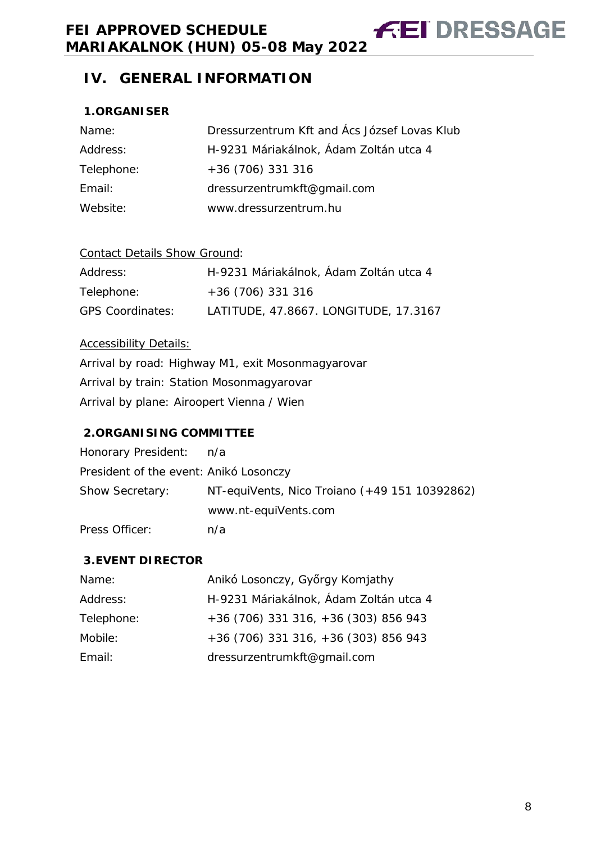# <span id="page-7-1"></span><span id="page-7-0"></span>**1.ORGANISER**

| Name:      | Dressurzentrum Kft and Ács József Lovas Klub |
|------------|----------------------------------------------|
| Address:   | H-9231 Máriakálnok, Ádam Zoltán utca 4       |
| Telephone: | $+36(706)331316$                             |
| Email:     | dressurzentrumkft@gmail.com                  |
| Website:   | www.dressurzentrum.hu                        |

## Contact Details Show Ground:

| Address:                | H-9231 Máriakálnok, Ádam Zoltán utca 4 |
|-------------------------|----------------------------------------|
| Telephone:              | $+36(706)331316$                       |
| <b>GPS Coordinates:</b> | LATITUDE, 47.8667. LONGITUDE, 17.3167  |

## Accessibility Details:

Arrival by road: Highway M1, exit Mosonmagyarovar Arrival by train: Station Mosonmagyarovar Arrival by plane: Airoopert Vienna / Wien

# <span id="page-7-2"></span>**2.ORGANISING COMMITTEE**

| Honorary President:                    | n/a                                           |
|----------------------------------------|-----------------------------------------------|
| President of the event: Anikó Losonczy |                                               |
| <b>Show Secretary:</b>                 | NT-equiVents, Nico Troiano (+49 151 10392862) |
|                                        | www.nt-equiVents.com                          |
| Press Officer:                         | n/a                                           |

# <span id="page-7-3"></span>**3.EVENT DIRECTOR**

| Name:      | Anikó Losonczy, Győrgy Komjathy        |
|------------|----------------------------------------|
| Address:   | H-9231 Máriakálnok, Ádam Zoltán utca 4 |
| Telephone: | +36 (706) 331 316, +36 (303) 856 943   |
| Mobile:    | +36 (706) 331 316, +36 (303) 856 943   |
| Email:     | dressurzentrumkft@gmail.com            |

**FEI DRESSAGE**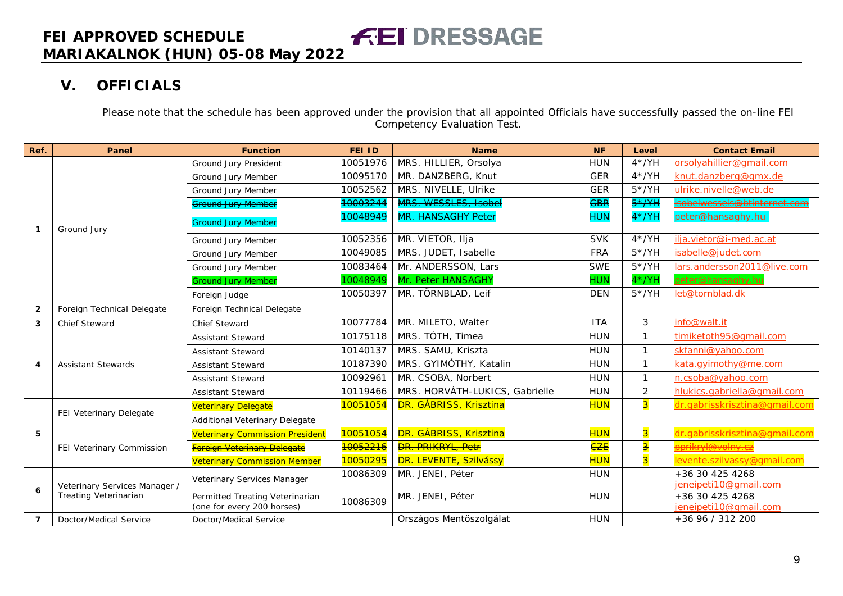# **V. OFFICIALS**

Please note that the schedule has been approved under the provision that all appointed Officials have successfully passed the on-line FEI Competency Evaluation Test.

<span id="page-8-0"></span>

| Ref.           | Panel                         | <b>Function</b>                                               | <b>FEI ID</b>         | <b>Name</b>                    | <b>NF</b>  | Level                   | <b>Contact Email</b>                     |
|----------------|-------------------------------|---------------------------------------------------------------|-----------------------|--------------------------------|------------|-------------------------|------------------------------------------|
|                |                               | Ground Jury President                                         | 10051976              | MRS. HILLIER, Orsolya          | <b>HUN</b> | $4*/YH$                 | orsolyahillier@qmail.com                 |
|                |                               | Ground Jury Member                                            | 10095170              | MR. DANZBERG, Knut             | <b>GER</b> | $4*/YH$                 | knut.danzberg@gmx.de                     |
|                |                               | Ground Jury Member                                            | 10052562              | MRS. NIVELLE, Ulrike           | <b>GER</b> | $5*/YH$                 | ulrike.nivelle@web.de                    |
|                |                               | Ground Jury Member                                            | 10003244              | MRS. WESSLES, Isobel           | <b>GBR</b> | $5*$ /YH                | <del>isobelwessels@btinternet.com</del>  |
| -1             | Ground Jury                   | <b>Ground Jury Member</b>                                     | 10048949              | <b>MR. HANSAGHY Peter</b>      | <b>HUN</b> | $4*/YH$                 | peter@hansaghy.hu                        |
|                |                               | Ground Jury Member                                            | 10052356              | MR. VIETOR, Ilja               | <b>SVK</b> | $4*/YH$                 | ilja.vietor@i-med.ac.at                  |
|                |                               | Ground Jury Member                                            | 10049085              | MRS. JUDET, Isabelle           | <b>FRA</b> | $5*/YH$                 | isabelle@judet.com                       |
|                |                               | Ground Jury Member                                            | 10083464              | Mr. ANDERSSON, Lars            | <b>SWE</b> | $5*/YH$                 | lars.andersson2011@live.com              |
|                |                               | <b>Ground Jury Member</b>                                     | 10048949              | Mr. Peter HANSAGHY             | <b>HUN</b> | $4*/YH$                 | peter@hansaghy.hu                        |
|                |                               | Foreign Judge                                                 | 10050397              | MR. TÖRNBLAD, Leif             | <b>DEN</b> | $5*/YH$                 | let@tornblad.dk                          |
| $\overline{2}$ | Foreign Technical Delegate    | Foreign Technical Delegate                                    |                       |                                |            |                         |                                          |
| 3              | <b>Chief Steward</b>          | Chief Steward                                                 | 10077784              | MR. MILETO, Walter             | <b>ITA</b> | 3                       | info@walt.it                             |
|                | <b>Assistant Stewards</b>     | <b>Assistant Steward</b>                                      | 10175118              | MRS. TÓTH, Timea               | <b>HUN</b> | $\mathbf{1}$            | timiketoth95@gmail.com                   |
|                |                               | <b>Assistant Steward</b>                                      | 10140137              | MRS. SAMU, Kriszta             | <b>HUN</b> | $\mathbf{1}$            | skfanni@yahoo.com                        |
| 4              |                               | <b>Assistant Steward</b>                                      | 10187390              | MRS. GYIMÓTHY, Katalin         | <b>HUN</b> | $\mathbf{1}$            | kata.qyimothy@me.com                     |
|                |                               | <b>Assistant Steward</b>                                      | 10092961              | MR. CSOBA, Norbert             | <b>HUN</b> | $\mathbf{1}$            | n.csoba@yahoo.com                        |
|                |                               | <b>Assistant Steward</b>                                      | 10119466              | MRS. HORVÁTH-LUKICS, Gabrielle | <b>HUN</b> | $\overline{2}$          | hlukics.gabriella@gmail.com              |
|                | FEI Veterinary Delegate       | <b>Veterinary Delegate</b>                                    | 10051054              | DR. GÁBRISS, Krisztina         | <b>HUN</b> | $\overline{\mathbf{3}}$ | dr.gabrisskrisztina@gmail.com            |
|                |                               | Additional Veterinary Delegate                                |                       |                                |            |                         |                                          |
| 5              |                               | Veterinary Commission President                               | 10051054              | <b>DR. GÁBRISS, Krisztina</b>  | <b>HUN</b> | $\overline{\mathbf{3}}$ | dr. gabrisskrisztina@gmail.com           |
|                | FEI Veterinary Commission     | Foreign Veterinary Delegate                                   | <mark>10052216</mark> | <b>DR. PRIKRYL, Petr</b>       | <b>CZE</b> | $\overline{\textbf{3}}$ | <del>pprikryl@volny.cz</del>             |
|                |                               | <b>Veterinary Commission Member</b>                           | 10050295              | <b>DR. LEVENTE, Szilvássy</b>  | <b>HUN</b> | <mark>3</mark>          | <u>levente.szilvassy@qmail.com</u>       |
| 6              | Veterinary Services Manager / | Veterinary Services Manager                                   | 10086309              | MR. JENEI, Péter               | <b>HUN</b> |                         | +36 30 425 4268<br>jeneipeti10@gmail.com |
|                | Treating Veterinarian         | Permitted Treating Veterinarian<br>(one for every 200 horses) | 10086309              | MR. JENEI, Péter               | <b>HUN</b> |                         | +36 30 425 4268<br>jeneipeti10@gmail.com |
| $\overline{7}$ | Doctor/Medical Service        | Doctor/Medical Service                                        |                       | Országos Mentöszolgálat        | <b>HUN</b> |                         | +36 96 / 312 200                         |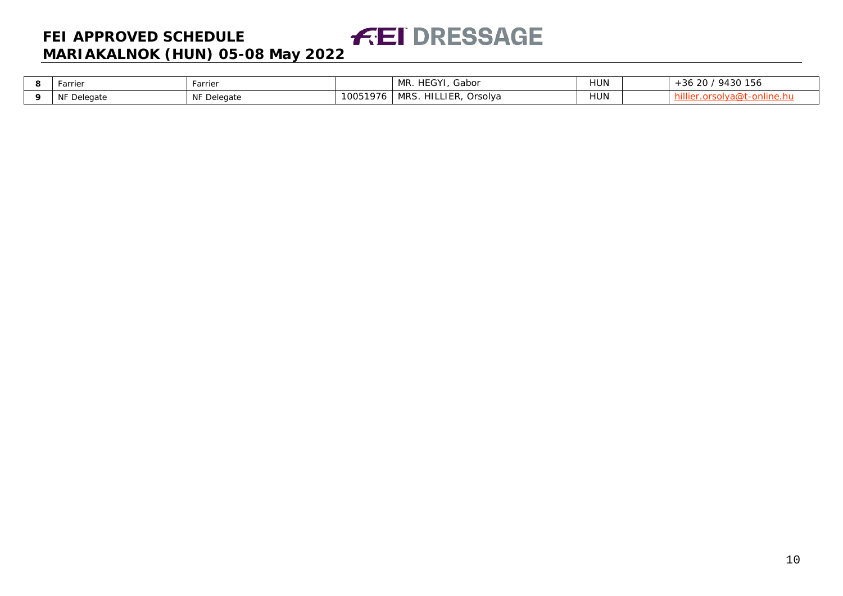#### **FEI DRESSAGE FEI APPROVED SCHEDULE MARIAKALNOK (HUN) 05-08 May 2022**

| arrier      | Farrier     |          | HEGYI,<br>Gabor<br>11 D<br>IVIR. | HUN        | $'$ 9430 156<br>-36 20 |
|-------------|-------------|----------|----------------------------------|------------|------------------------|
| NF Delegate | NF Delegate | 10051976 | MRS.<br>HILLIER,<br>Orsolya      | <b>NUL</b> | …uva@t-om              |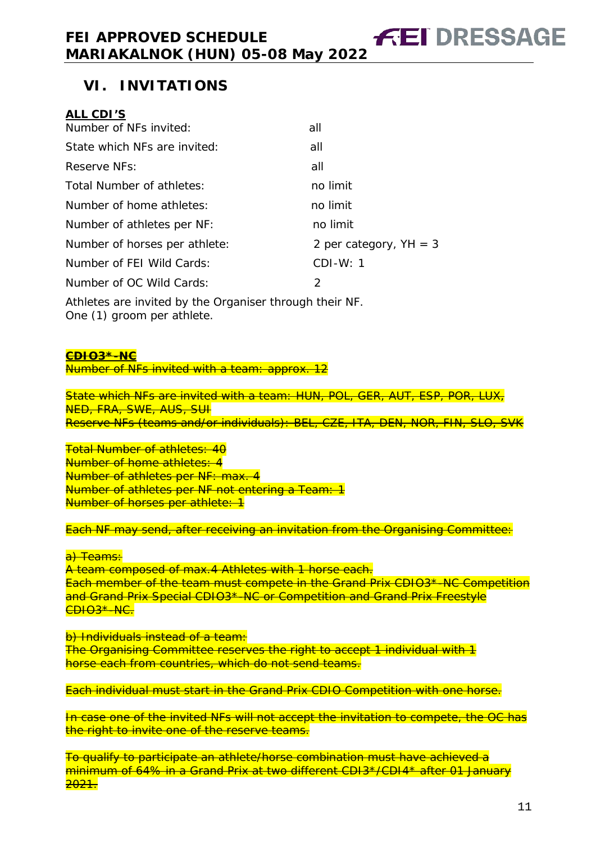## <span id="page-10-0"></span>**ALL CDI'S**

| Number of NFs invited:        | all                      |
|-------------------------------|--------------------------|
| State which NFs are invited:  | all                      |
| Reserve NFs:                  | all                      |
| Total Number of athletes:     | no limit                 |
| Number of home athletes:      | no limit                 |
| Number of athletes per NF:    | no limit                 |
| Number of horses per athlete: | 2 per category, $YH = 3$ |
| Number of FEI Wild Cards:     | $CDI-W: 1$               |
| Number of OC Wild Cards:      | 2                        |
|                               |                          |

Athletes are invited by the Organiser through their NF. One (1) groom per athlete.

#### **CDIO3\*-NC**

Number of NFs invited with a team: approx. 12

State which NFs are invited with a team: HUN, POL, GER, AUT, ESP, POR, LUX, NED, FRA, SWE, AUS, SUI Reserve NFs (teams and/or individuals): BEL, CZE, ITA, DEN, NOR, FIN, SLO, SVK

Total Number of athletes: 40 Number of home athletes: 4 Number of athletes per NF: max. 4 Number of athletes per NF not entering a Team: 1 Number of horses per athlete: 1

Each NF may send, after receiving an invitation from the Organising Committee:

#### a<del>) Teams:</del>

A team composed of max.4 Athletes with 1 horse each. Each member of the team must compete in the Grand Prix CDIO3\*-NC Competition and Grand Prix Special CDIO3\*-NC or Competition and Grand Prix Freestyle CDIO3\*-NC.

b) Individuals instead of a team: The Organising Committee reserves the right to accept 1 individual with 1 horse each from countries, which do not send teams.

Each individual must start in the Grand Prix CDIO Competition with one horse.

In case one of the invited NFs will not accept the invitation to compete, the OC has the right to invite one of the reserve teams.

To qualify to participate an athlete/horse combination must have achieved a minimum of 64% in a Grand Prix at two different CDI3\*/CDI4\* after 01 January <mark><del>2021.</del></mark>

**FEI DRESSAGE**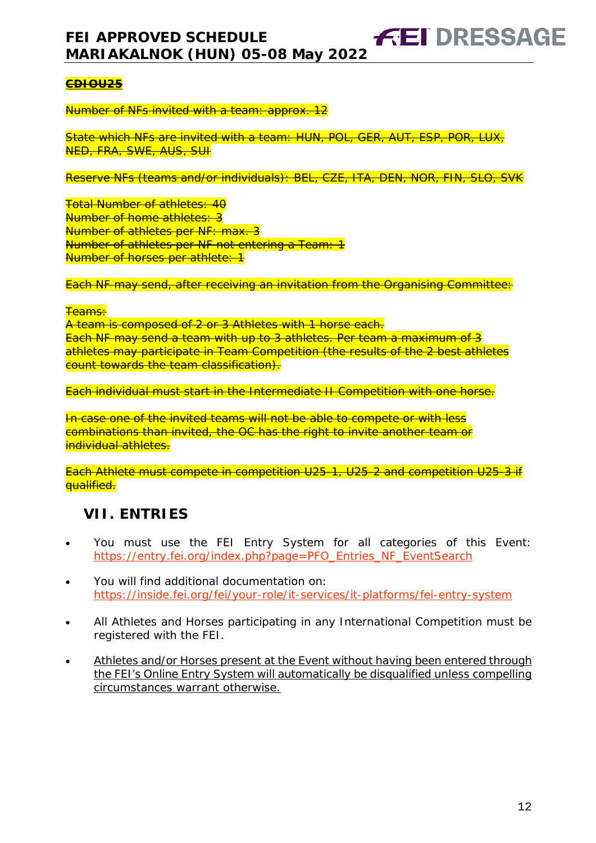## **CDIOU25**

Number of NFs invited with a team: approx. 12

State which NFs are invited with a team: HUN, POL, GER, AUT, ESP, POR, LUX, NED, FRA, SWE, AUS, SUI

Reserve NFs (teams and/or individuals): BEL, CZE, ITA, DEN, NOR, FIN, SLO, SVK

Total Number of athletes: 40 Number of home athletes: 3 Number of athletes per NF: max. 3 Number of athletes per NF not entering a Team: 1 Number of horses per athlete: 1

Each NF may send, after receiving an invitation from the Organising Committee:

#### **Teams:**

A team is composed of 2 or 3 Athletes with 1 horse each. Each NF may send a team with up to 3 athletes. Per team a maximum of 3 athletes may participate in Team Competition (the results of the 2 best athletes count towards the team classification).

Each individual must start in the Intermediate II Competition with one horse.

In case one of the invited teams will not be able to compete or with less combinations than invited, the OC has the right to invite another team or individual athletes.

Each Athlete must compete in competition U25-1, U25-2 and competition U25-3 if **qualified.** 

# <span id="page-11-0"></span>**VII. ENTRIES**

- You must use the FEI Entry System for all categories of this Event: [https://entry.fei.org/index.php?page=PFO\\_Entries\\_NF\\_EventSearch](https://entry.fei.org/index.php?page=PFO_Entries_NF_EventSearch)
- You will find additional documentation on: <https://inside.fei.org/fei/your-role/it-services/it-platforms/fei-entry-system>
- All Athletes and Horses participating in any International Competition must be registered with the FEI.
- Athletes and/or Horses present at the Event without having been entered through the FEI's Online Entry System will automatically be disqualified unless compelling circumstances warrant otherwise.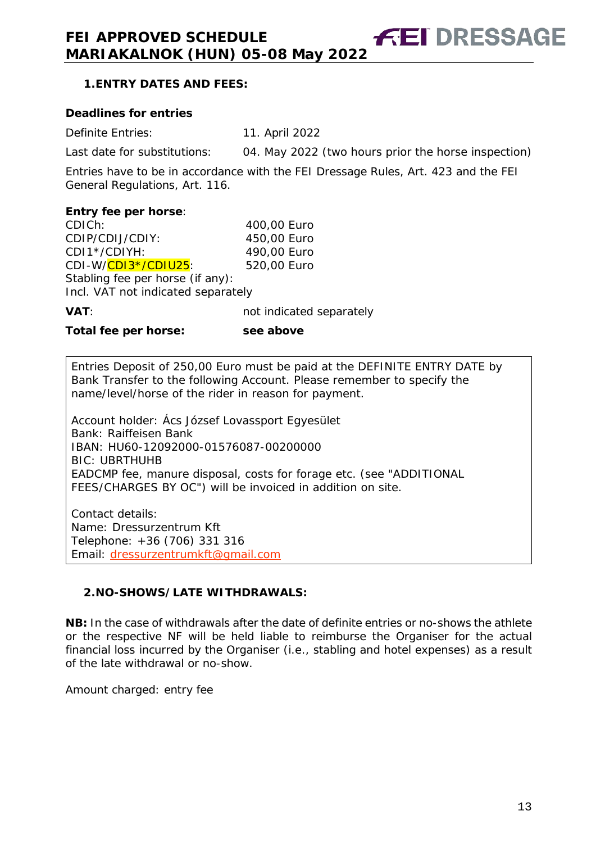**FEI DRESSAGE** 

## <span id="page-12-0"></span>**1.ENTRY DATES AND FEES:**

#### **Deadlines for entries**

Definite Entries: 11. April 2022 Last date for substitutions: 04. May 2022 (two hours prior the horse inspection)

Entries have to be in accordance with the FEI Dressage Rules, Art. 423 and the FEI

General Regulations, Art. 116.

#### **Entry fee per horse**:

CDICh: 400,00 Euro CDIP/CDIJ/CDIY: 450,00 Euro<br>CDI1\*/CDIYH: 490,00 Euro CDI1\*/CDIYH: CDI-W/CDI3\*/CDIU25: 520,00 Euro Stabling fee per horse (if any): Incl. VAT not indicated separately

**VAT**: **variable indicated separately** 

**Total fee per horse: see above**

Entries Deposit of 250,00 Euro must be paid at the DEFINITE ENTRY DATE by Bank Transfer to the following Account. Please remember to specify the name/level/horse of the rider in reason for payment.

Account holder: Ács József Lovassport Egyesület Bank: Raiffeisen Bank IBAN: HU60-12092000-01576087-00200000 BIC: UBRTHUHB EADCMP fee, manure disposal, costs for forage etc. (see "ADDITIONAL FEES/CHARGES BY OC") will be invoiced in addition on site.

Contact details: Name: Dressurzentrum Kft Telephone: +36 (706) 331 316 Email: [dressurzentrumkft@gmail.com](mailto:dressurzentrumkft@gmail.com)

## <span id="page-12-1"></span>**2.NO-SHOWS/LATE WITHDRAWALS:**

**NB:** In the case of withdrawals after the date of definite entries or no-shows the athlete or the respective NF will be held liable to reimburse the Organiser for the actual financial loss incurred by the Organiser (i.e., stabling and hotel expenses) as a result of the late withdrawal or no-show.

Amount charged: entry fee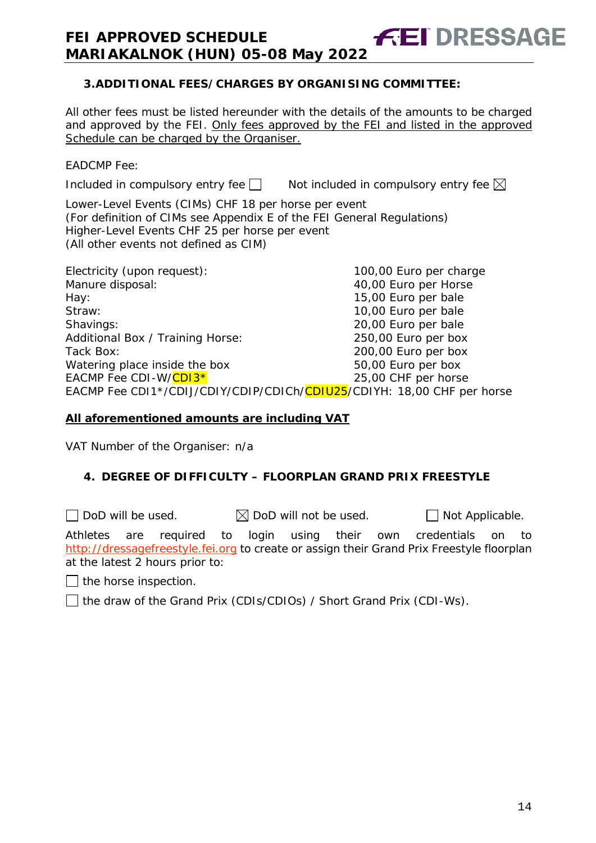## <span id="page-13-0"></span>**3.ADDITIONAL FEES/CHARGES BY ORGANISING COMMITTEE:**

All other fees must be listed hereunder with the details of the amounts to be charged and approved by the FEI. Only fees approved by the FEI and listed in the approved Schedule can be charged by the Organiser.

**FEI DRESSAGE** 

EADCMP Fee:

Included in compulsory entry fee  $\Box$  Not included in compulsory entry fee  $\boxtimes$ 

Lower-Level Events (CIMs) CHF 18 per horse per event (For definition of CIMs see Appendix E of the FEI General Regulations) Higher-Level Events CHF 25 per horse per event (All other events not defined as CIM)

| Electricity (upon request):                                            | 100,00 Euro per charge |
|------------------------------------------------------------------------|------------------------|
| Manure disposal:                                                       | 40,00 Euro per Horse   |
| Hay:                                                                   | 15,00 Euro per bale    |
| Straw:                                                                 | 10,00 Euro per bale    |
| Shavings:                                                              | 20,00 Euro per bale    |
| Additional Box / Training Horse:                                       | 250,00 Euro per box    |
| Tack Box:                                                              | 200,00 Euro per box    |
| Watering place inside the box                                          | 50,00 Euro per box     |
| EACMP Fee CDI-W/CDI3*                                                  | 25,00 CHF per horse    |
| EACMP Fee CDI1*/CDIJ/CDIY/CDIP/CDICh/CDIU25/CDIYH: 18,00 CHF per horse |                        |

#### **All aforementioned amounts are including VAT**

VAT Number of the Organiser: n/a

## <span id="page-13-1"></span>**4. DEGREE OF DIFFICULTY – FLOORPLAN GRAND PRIX FREESTYLE**

 $\Box$  DoD will be used.  $\boxtimes$  DoD will not be used.  $\Box$  Not Applicable.

Athletes are required to login using their own credentials on to [http://dressagefreestyle.fei.org](http://dressagefreestyle.fei.org/) to create or assign their Grand Prix Freestyle floorplan at the latest 2 hours prior to:

the horse inspection.

□ the draw of the Grand Prix (CDIs/CDIOs) / Short Grand Prix (CDI-Ws).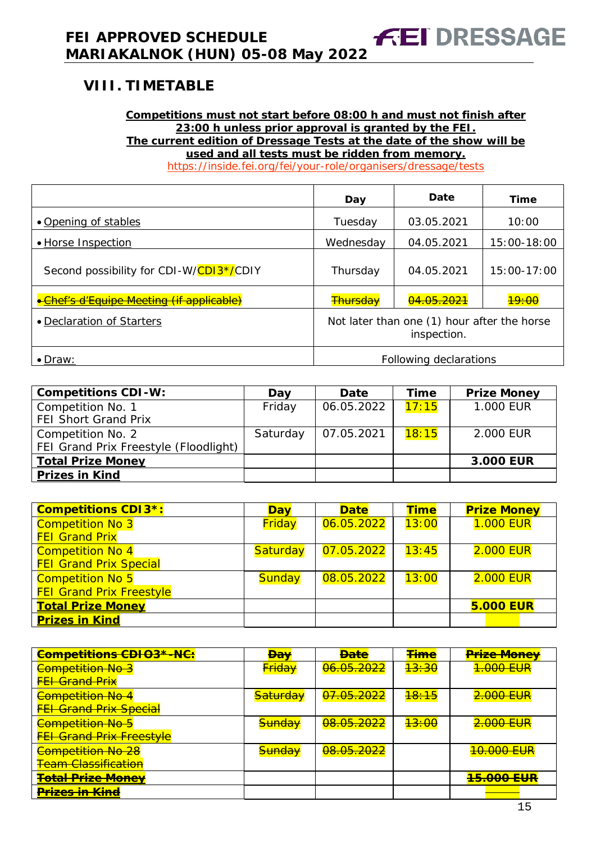#### <span id="page-14-0"></span>**Competitions must not start before 08:00 h and must not finish after 23:00 h unless prior approval is granted by the FEI. The current edition of Dressage Tests at the date of the show will be used and all tests must be ridden from memory.**

**FEI DRESSAGE** 

<https://inside.fei.org/fei/your-role/organisers/dressage/tests>

|                                          | Day                                                        | Date       | Time             |  |
|------------------------------------------|------------------------------------------------------------|------------|------------------|--|
| • Opening of stables                     | Tuesday                                                    | 03.05.2021 | 10:00            |  |
| • Horse Inspection                       | Wednesday                                                  | 04.05.2021 | 15:00-18:00      |  |
| Second possibility for CDI-W/CDI3*/CDIY  | Thursday                                                   | 04.05.2021 | 15:00-17:00      |  |
| •Chef's d'Equipe Meeting (if applicable) | <b>Thursday</b>                                            | 04.05.2021 | <del>19:00</del> |  |
| • Declaration of Starters                | Not later than one (1) hour after the horse<br>inspection. |            |                  |  |
| $\bullet$ Draw:                          | Following declarations                                     |            |                  |  |

| <b>Competitions CDI-W:</b>            | Day      | Date       | Time  | <b>Prize Money</b> |
|---------------------------------------|----------|------------|-------|--------------------|
| Competition No. 1                     | Friday   | 06.05.2022 | 17:15 | 1.000 EUR          |
| <b>FEI Short Grand Prix</b>           |          |            |       |                    |
| Competition No. 2                     | Saturday | 07.05.2021 | 18:15 | 2.000 EUR          |
| FEI Grand Prix Freestyle (Floodlight) |          |            |       |                    |
| <b>Total Prize Money</b>              |          |            |       | 3.000 EUR          |
| <b>Prizes in Kind</b>                 |          |            |       |                    |

| <b>Competitions CDI3*:</b>      | <b>Day</b>    | <b>Date</b> | <b>Time</b> | <b>Prize Money</b> |
|---------------------------------|---------------|-------------|-------------|--------------------|
| <b>Competition No 3</b>         | Friday        | 06.05.2022  | 13:00       | <b>1.000 EUR</b>   |
| <b>FEI Grand Prix</b>           |               |             |             |                    |
| <b>Competition No 4</b>         | Saturday      | 07.05.2022  | 13:45       | <b>2.000 EUR</b>   |
| <b>FEI Grand Prix Special</b>   |               |             |             |                    |
| <b>Competition No 5</b>         | <b>Sunday</b> | 08.05.2022  | 13:00       | <b>2.000 EUR</b>   |
| <b>FEI Grand Prix Freestyle</b> |               |             |             |                    |
| <b>Total Prize Money</b>        |               |             |             | <b>5.000 EUR</b>   |
| <b>Prizes in Kind</b>           |               |             |             |                    |

| <b>Competitions CDIO3*-NC:</b>  | <del>Da∖</del>      | <b>Bate</b>           | <b>Time</b>      | <b>Prize Money</b>    |
|---------------------------------|---------------------|-----------------------|------------------|-----------------------|
| <b>Competition No 3</b>         | <b>Friday</b>       | <del>06.05.2022</del> | <del>13:30</del> | 1.000 EUR             |
| <b>FFI Grand Prix</b>           |                     |                       |                  |                       |
| <b>Competition No 4</b>         | <del>Saturday</del> | 07.05.2022            | <del>18:15</del> | <del>2.000 EUR</del>  |
| <b>FEI Grand Prix Special</b>   |                     |                       |                  |                       |
| <b>Competition No 5</b>         | <del>Sunday</del>   | 08.05.2022            | <del>13:00</del> | 2.000 EUR             |
| <b>FEI Grand Prix Freestyle</b> |                     |                       |                  |                       |
| <b>Competition No 28</b>        | <del>Sunday</del>   | <del>08.05.2022</del> |                  | <del>10.000 EUR</del> |
| <b>Team Classification</b>      |                     |                       |                  |                       |
| <b>Total Prize Money</b>        |                     |                       |                  | <b>15.000 EUR</b>     |
| <del>Prizes in Kind</del>       |                     |                       |                  |                       |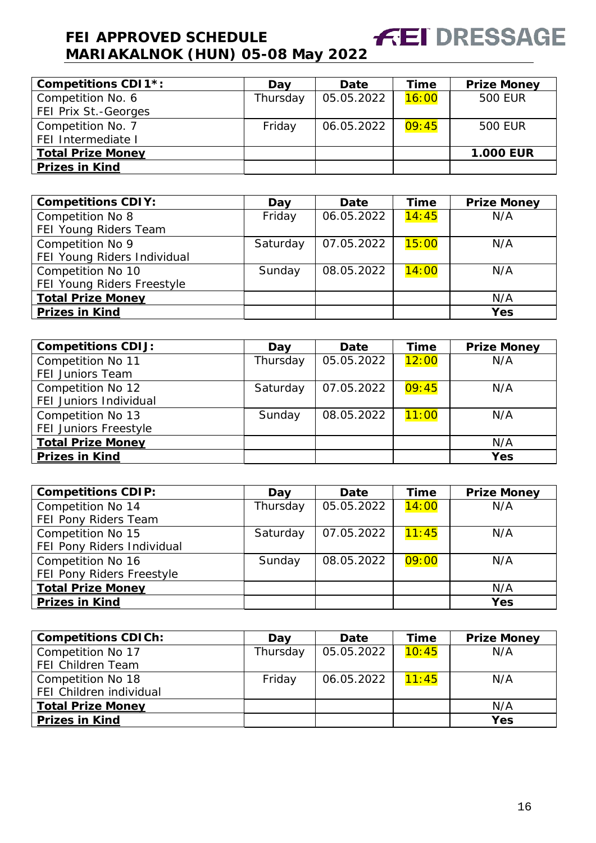#### **FEI DRESSAGE FEI APPROVED SCHEDULE MARIAKALNOK (HUN) 05-08 May 2022**

| <b>Competitions CDI1*:</b> | Day      | Date       | Time  | <b>Prize Money</b> |
|----------------------------|----------|------------|-------|--------------------|
| Competition No. 6          | Thursday | 05.05.2022 | 16:00 | <b>500 EUR</b>     |
| FEI Prix St.-Georges       |          |            |       |                    |
| Competition No. 7          | Friday   | 06.05.2022 | 09:45 | <b>500 EUR</b>     |
| FEI Intermediate I         |          |            |       |                    |
| <b>Total Prize Money</b>   |          |            |       | <b>1.000 EUR</b>   |
| <b>Prizes in Kind</b>      |          |            |       |                    |

| <b>Competitions CDIY:</b>   | Day      | <b>Date</b> | <b>Time</b> | <b>Prize Money</b> |
|-----------------------------|----------|-------------|-------------|--------------------|
| Competition No 8            | Friday   | 06.05.2022  | 14:45       | N/A                |
| FEI Young Riders Team       |          |             |             |                    |
| Competition No 9            | Saturday | 07.05.2022  | 15:00       | N/A                |
| FEI Young Riders Individual |          |             |             |                    |
| Competition No 10           | Sunday   | 08.05.2022  | 14:00       | N/A                |
| FEI Young Riders Freestyle  |          |             |             |                    |
| <b>Total Prize Money</b>    |          |             |             | N/A                |
| <b>Prizes in Kind</b>       |          |             |             | <b>Yes</b>         |

| <b>Competitions CDIJ:</b>                    | Day      | <b>Date</b> | Time  | <b>Prize Money</b> |
|----------------------------------------------|----------|-------------|-------|--------------------|
| Competition No 11<br><b>FEI Juniors Team</b> | Thursday | 05.05.2022  | 12:00 | N/A                |
| Competition No 12<br>FEI Juniors Individual  | Saturday | 07.05.2022  | 09:45 | N/A                |
| Competition No 13<br>FEI Juniors Freestyle   | Sunday   | 08.05.2022  | 11:00 | N/A                |
| <b>Total Prize Money</b>                     |          |             |       | N/A                |
| <b>Prizes in Kind</b>                        |          |             |       | <b>Yes</b>         |

| <b>Competitions CDIP:</b>  | Day      | <b>Date</b> | Time  | <b>Prize Money</b> |
|----------------------------|----------|-------------|-------|--------------------|
| Competition No 14          | Thursday | 05.05.2022  | 14:00 | N/A                |
| FEI Pony Riders Team       |          |             |       |                    |
| Competition No 15          | Saturday | 07.05.2022  | 11:45 | N/A                |
| FEI Pony Riders Individual |          |             |       |                    |
| Competition No 16          | Sunday   | 08.05.2022  | 09:00 | N/A                |
| FEI Pony Riders Freestyle  |          |             |       |                    |
| <b>Total Prize Money</b>   |          |             |       | N/A                |
| <b>Prizes in Kind</b>      |          |             |       | Yes                |

| <b>Competitions CDICh:</b>                   | Dav      | Date       | Time  | <b>Prize Money</b> |
|----------------------------------------------|----------|------------|-------|--------------------|
| Competition No 17<br>FEI Children Team       | Thursday | 05.05.2022 | 10:45 | N/A                |
| Competition No 18<br>FEI Children individual | Friday   | 06.05.2022 | 11:45 | N/A                |
| <b>Total Prize Money</b>                     |          |            |       | N/A                |
| <b>Prizes in Kind</b>                        |          |            |       | <b>Yes</b>         |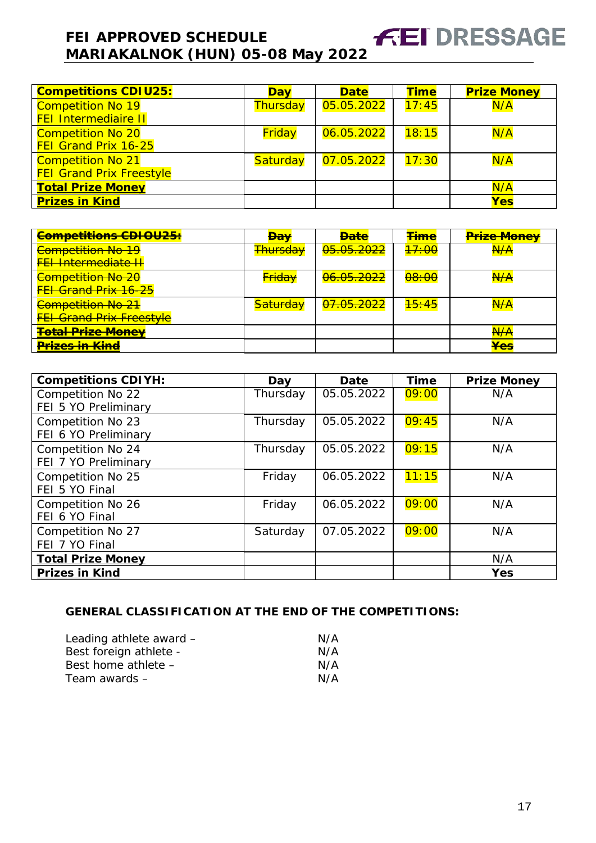| <b>Competitions CDIU25:</b>     | <b>Day</b> | <b>Date</b> | <b>Time</b> | <b>Prize Money</b> |
|---------------------------------|------------|-------------|-------------|--------------------|
| <b>Competition No 19</b>        | Thursday   | 05.05.2022  | 17:45       | N/A                |
| <b>FEI Intermediaire II</b>     |            |             |             |                    |
| <b>Competition No 20</b>        | Friday     | 06.05.2022  | 18:15       | N/A                |
| FEI Grand Prix 16-25            |            |             |             |                    |
| <b>Competition No 21</b>        | Saturday   | 07.05.2022  | 17:30       | N/A                |
| <b>FEI Grand Prix Freestyle</b> |            |             |             |                    |
| <b>Total Prize Money</b>        |            |             |             | N/A                |
| <b>Prizes in Kind</b>           |            |             |             | <b>Yes</b>         |

| <b>Competitions CDIOU25:</b>     | <del>Dav</del>      | <b>Date</b>           | <b><del>Time</del></b> | <b>Prize Money</b>           |
|----------------------------------|---------------------|-----------------------|------------------------|------------------------------|
| <b>Competition No 19</b>         | <del>Thursday</del> | <del>05.05.2022</del> | <del>17:00</del>       | <del>N/A</del>               |
| <b>FEI Intermediate II</b>       |                     |                       |                        |                              |
| <b>Competition No 20</b>         | <b>Friday</b>       | 06.05.2022            | <del>08:00</del>       | <del>N/A</del>               |
| <b>FEI Grand Prix 16-25</b>      |                     |                       |                        |                              |
| <b>Competition No 21</b>         | <del>Saturday</del> | <del>07.05.2022</del> | <del>15:45</del>       | A/A                          |
| <b>FEI Grand Prix Freestyle</b>  |                     |                       |                        |                              |
| <b><u> Fotal Prize Money</u></b> |                     |                       |                        | <del>N/A</del>               |
| <del>Prizes in Kind</del>        |                     |                       |                        | $V_{\Omega}$<br>$\mathbf{T}$ |

| <b>Competitions CDIYH:</b> | Day      | Date       | <b>Time</b> | <b>Prize Money</b> |
|----------------------------|----------|------------|-------------|--------------------|
| Competition No 22          | Thursday | 05.05.2022 | 09:00       | N/A                |
| FEI 5 YO Preliminary       |          |            |             |                    |
| Competition No 23          | Thursday | 05.05.2022 | 09:45       | N/A                |
| FEI 6 YO Preliminary       |          |            |             |                    |
| Competition No 24          | Thursday | 05.05.2022 | 09:15       | N/A                |
| FEI 7 YO Preliminary       |          |            |             |                    |
| Competition No 25          | Friday   | 06.05.2022 | 11:15       | N/A                |
| FEI 5 YO Final             |          |            |             |                    |
| Competition No 26          | Friday   | 06.05.2022 | 09:00       | N/A                |
| FEI 6 YO Final             |          |            |             |                    |
| Competition No 27          | Saturday | 07.05.2022 | 09:00       | N/A                |
| FEI 7 YO Final             |          |            |             |                    |
| <b>Total Prize Money</b>   |          |            |             | N/A                |
| <b>Prizes in Kind</b>      |          |            |             | Yes                |

## **GENERAL CLASSIFICATION AT THE END OF THE COMPETITIONS:**

<span id="page-16-0"></span>

| Leading athlete award - | N/A |
|-------------------------|-----|
| Best foreign athlete -  | N/A |
| Best home athlete -     | N/A |
| Team awards –           | N/A |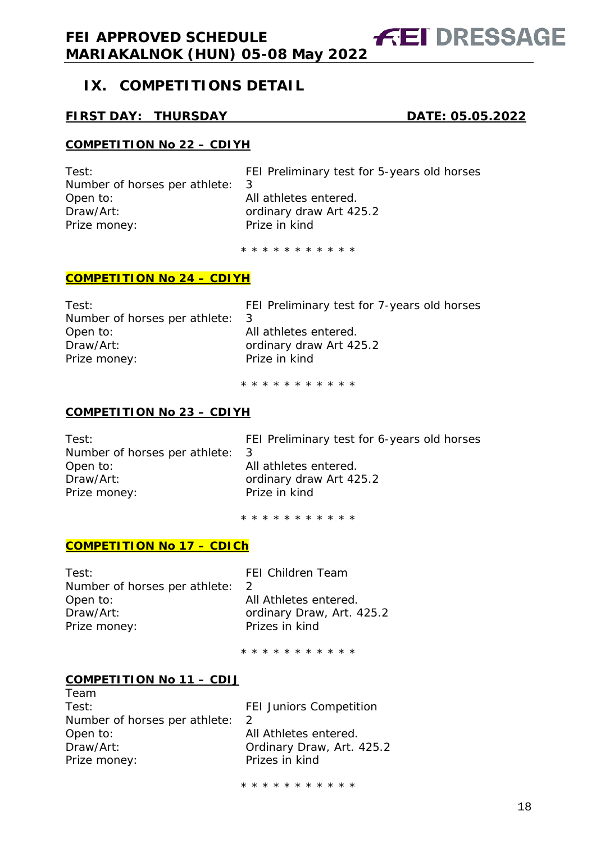# **IX. COMPETITIONS DETAIL**

## **FIRST DAY: THURSDAY DATE: 05.05.2022**

**FEI DRESSAGE** 

#### **COMPETITION No 22 – CDIYH**

Number of horses per athlete: 3 Open to: and all athletes entered. Draw/Art: ordinary draw Art 425.2<br>Prize money: Prize in kind Prize money:

Test: FEI Preliminary test for 5-years old horses

\* \* \* \* \* \* \* \* \* \* \*

#### **COMPETITION No 24 – CDIYH**

| Test:                           | FEI Preliminary test for 7-years old horses |
|---------------------------------|---------------------------------------------|
| Number of horses per athlete: 3 |                                             |
| Open to:                        | All athletes entered.                       |
| Draw/Art:                       | ordinary draw Art 425.2                     |
| Prize money:                    | Prize in kind                               |
|                                 |                                             |

\* \* \* \* \* \* \* \* \* \* \*

#### **COMPETITION No 23 – CDIYH**

Number of horses per athlete: 3 Open to: and all athletes entered. Draw/Art: containing ordinary draw Art 425.2 Prize money: Prize in kind

Test: FEI Preliminary test for 6-years old horses

\* \* \* \* \* \* \* \* \* \* \*

#### **COMPETITION No 17 – CDICh**

| FF.           |
|---------------|
| $\mathcal{P}$ |
| All           |
| oro           |
| Pri           |
|               |

I Children Team Athletes entered. dinary Draw, Art. 425.2 izes in kind

\* \* \* \* \* \* \* \* \* \* \*

#### **COMPETITION No 11 – CDIJ**

Team

| Test:                         | <b>FEI Juniors Competition</b> |
|-------------------------------|--------------------------------|
| Number of horses per athlete: |                                |
| Open to:                      | All Athletes entered.          |
| Draw/Art:                     | Ordinary Draw, Art. 425.2      |
| Prize money:                  | Prizes in kind                 |
|                               |                                |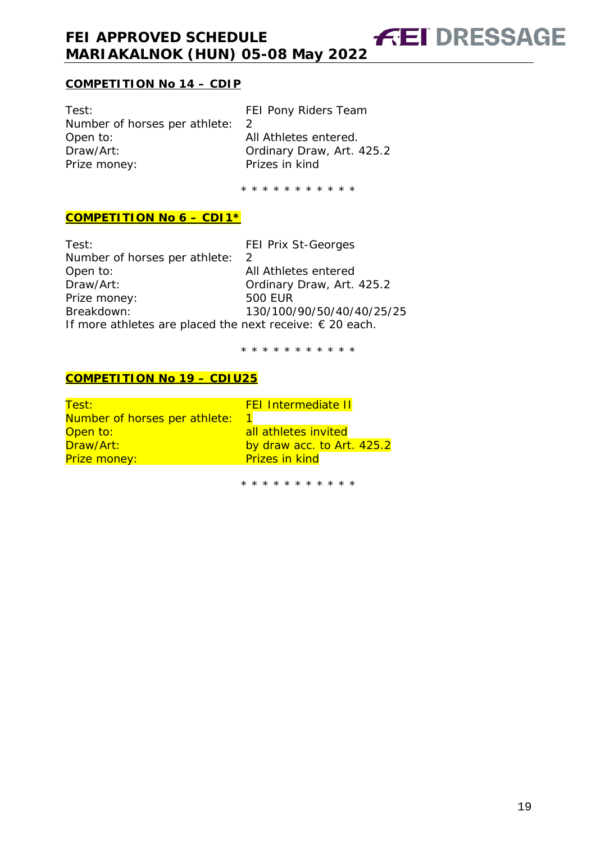## **COMPETITION No 14 – CDIP**

Test: Test: FEI Pony Riders Team Number of horses per athlete: 2<br>Open to: Al Open to: <br>
Draw/Art: 
Ordinary Draw, Art. Prize money: Prizes in kind

Ordinary Draw, Art. 425.2

**FEI DRESSAGE** 

\* \* \* \* \* \* \* \* \* \* \*

## **COMPETITION No 6 – CDI1\***

Test: FEI Prix St-Georges Number of horses per athlete: 2 Open to: and all Athletes entered Draw/Art: Ordinary Draw, Art. 425.2 Prize money: 500 EUR Breakdown: 130/100/90/50/40/40/25/25 If more athletes are placed the next receive: € 20 each.

\* \* \* \* \* \* \* \* \* \* \*

#### **COMPETITION No 19 – CDIU25**

| Test:                         | <b>FEI Intermediate II</b> |
|-------------------------------|----------------------------|
| Number of horses per athlete: |                            |
| Open to:                      | all athletes invited       |
| Draw/Art:                     | by draw acc. to Art. 425.2 |
| Prize money:                  | <b>Prizes in kind</b>      |
|                               |                            |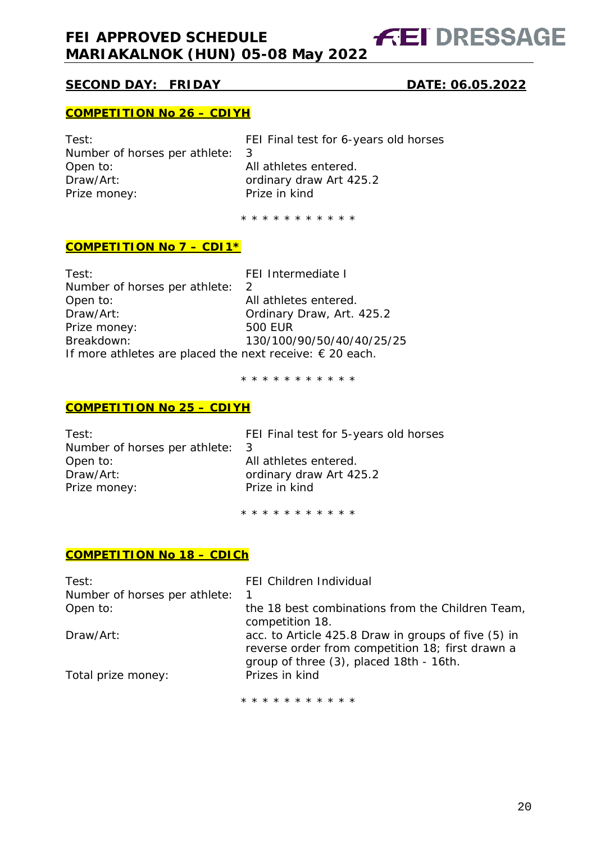**FEI DRESSAGE** 

# **SECOND DAY: FRIDAY DATE: 06.05.2022**

#### **COMPETITION No 26 – CDIYH**

Number of horses per athlete: 3 Open to: and all athletes entered. Draw/Art: ordinary draw Art 425.2<br>Prize money: Prize in kind Prize money:

Test: FEI Final test for 6-years old horses

\* \* \* \* \* \* \* \* \* \* \*

#### **COMPETITION No 7 – CDI1\***

| Test:                                                             | FEI Intermediate I        |
|-------------------------------------------------------------------|---------------------------|
| Number of horses per athlete:                                     | $\mathcal{L}$             |
| Open to:                                                          | All athletes entered.     |
| Draw/Art:                                                         | Ordinary Draw, Art. 425.2 |
| Prize money:                                                      | <b>500 EUR</b>            |
| Breakdown:                                                        | 130/100/90/50/40/40/25/25 |
| If more athletes are placed the next receive: $\epsilon$ 20 each. |                           |

\* \* \* \* \* \* \* \* \* \* \*

#### **COMPETITION No 25 – CDIYH**

| Test:                         | FEI Final test for 5-years old horses |
|-------------------------------|---------------------------------------|
| Number of horses per athlete: | -3                                    |
| Open to:                      | All athletes entered.                 |
| Draw/Art:                     | ordinary draw Art 425.2               |
| Prize money:                  | Prize in kind                         |
|                               |                                       |

\* \* \* \* \* \* \* \* \* \* \*

#### **COMPETITION No 18 – CDICh**

| FEI Children Individual<br>1                                                                            |
|---------------------------------------------------------------------------------------------------------|
| the 18 best combinations from the Children Team,<br>competition 18.                                     |
| acc. to Article 425.8 Draw in groups of five (5) in<br>reverse order from competition 18; first drawn a |
| group of three (3), placed 18th - 16th.<br>Prizes in kind                                               |
|                                                                                                         |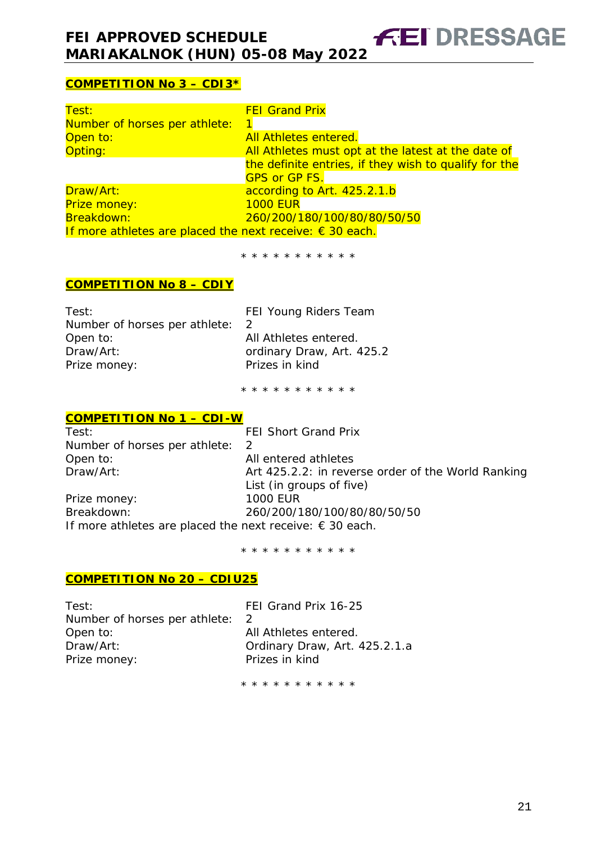# **COMPETITION No 3 – CDI3\***

| Test:                                                             | <b>FEI Grand Prix</b>                                 |
|-------------------------------------------------------------------|-------------------------------------------------------|
| Number of horses per athlete:                                     | $\mathbf{1}$                                          |
| Open to:                                                          | <b>All Athletes entered.</b>                          |
| Opting:                                                           | All Athletes must opt at the latest at the date of    |
|                                                                   | the definite entries, if they wish to qualify for the |
|                                                                   | <b>GPS or GP FS.</b>                                  |
| Draw/Art:                                                         | according to Art. 425.2.1.b                           |
| Prize money:                                                      | <b>1000 EUR</b>                                       |
| Breakdown:                                                        | 260/200/180/100/80/80/50/50                           |
| If more athletes are placed the next receive: $\epsilon$ 30 each. |                                                       |

\* \* \* \* \* \* \* \* \* \* \*

#### **COMPETITION No 8 – CDIY**

| Test:                         | FEI Young Riders Team     |
|-------------------------------|---------------------------|
| Number of horses per athlete: |                           |
| Open to:                      | All Athletes entered.     |
| Draw/Art:                     | ordinary Draw, Art. 425.2 |
| Prize money:                  | Prizes in kind            |
|                               |                           |

\* \* \* \* \* \* \* \* \* \* \*

#### **COMPETITION No 1 – CDI-W**

| Test:                                                             | <b>FEI Short Grand Prix</b>                        |
|-------------------------------------------------------------------|----------------------------------------------------|
| Number of horses per athlete:                                     | -2                                                 |
| Open to:                                                          | All entered athletes                               |
| Draw/Art:                                                         | Art 425.2.2: in reverse order of the World Ranking |
|                                                                   | List (in groups of five)                           |
| Prize money:                                                      | <b>1000 EUR</b>                                    |
| Breakdown:                                                        | 260/200/180/100/80/80/50/50                        |
| If more athletes are placed the next receive: $\epsilon$ 30 each. |                                                    |

\* \* \* \* \* \* \* \* \* \* \*

#### **COMPETITION No 20 – CDIU25**

| Test:                           | FEI Grand Prix 16-25          |
|---------------------------------|-------------------------------|
| Number of horses per athlete: 2 |                               |
| Open to:                        | All Athletes entered.         |
| Draw/Art:                       | Ordinary Draw, Art. 425.2.1.a |
| Prize money:                    | Prizes in kind                |
|                                 |                               |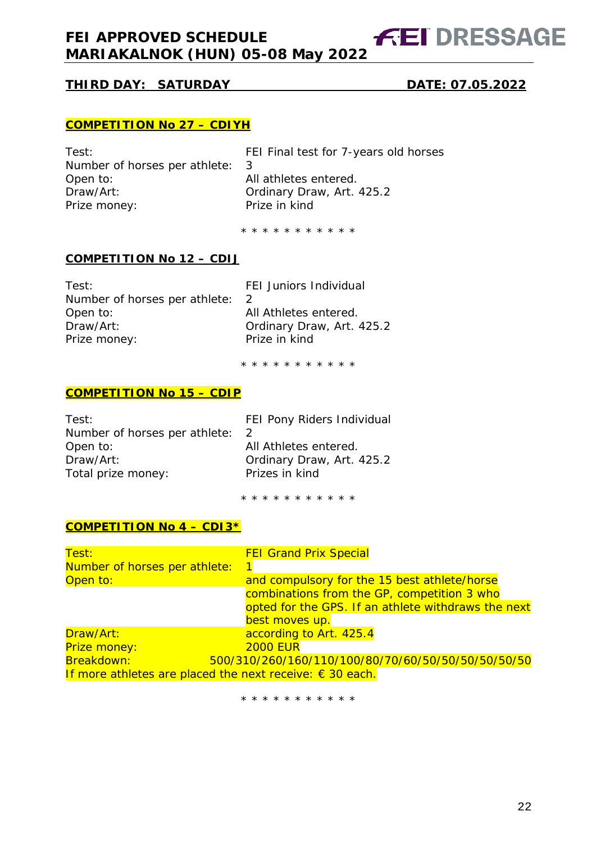# **THIRD DAY: SATURDAY DATE: 07.05.2022**

**FEI DRESSAGE** 

#### **COMPETITION No 27 – CDIYH**

| Test:                           | FEI Final test for 7-years old horses |
|---------------------------------|---------------------------------------|
| Number of horses per athlete: 3 |                                       |
| Open to:                        | All athletes entered.                 |
| Draw/Art:                       | Ordinary Draw, Art. 425.2             |
| Prize money:                    | Prize in kind                         |
|                                 |                                       |

\* \* \* \* \* \* \* \* \* \* \*

#### **COMPETITION No 12 – CDIJ**

| Test:                         | <b>FEI Juniors Individual</b> |
|-------------------------------|-------------------------------|
| Number of horses per athlete: |                               |
| Open to:                      | All Athletes entered.         |
| Draw/Art:                     | Ordinary Draw, Art. 425.2     |
| Prize money:                  | Prize in kind                 |
|                               |                               |

\* \* \* \* \* \* \* \* \* \* \*

## **COMPETITION No 15 – CDIP**

| Test:                         | FEI Pony Riders Individual |
|-------------------------------|----------------------------|
| Number of horses per athlete: |                            |
| Open to:                      | All Athletes entered.      |
| Draw/Art:                     | Ordinary Draw, Art. 425.2  |
| Total prize money:            | Prizes in kind             |
|                               |                            |

\* \* \* \* \* \* \* \* \* \* \*

#### **COMPETITION No 4 – CDI3\***

| Test:                                                             | <b>FEI Grand Prix Special</b>                       |
|-------------------------------------------------------------------|-----------------------------------------------------|
| Number of horses per athlete:                                     |                                                     |
| Open to:                                                          | and compulsory for the 15 best athlete/horse        |
|                                                                   | combinations from the GP, competition 3 who         |
|                                                                   | opted for the GPS. If an athlete withdraws the next |
|                                                                   | best moves up.                                      |
| Draw/Art:                                                         | according to Art. 425.4                             |
| Prize money:                                                      | <b>2000 EUR</b>                                     |
| Breakdown:                                                        | 500/310/260/160/110/100/80/70/60/50/50/50/50/50/50  |
| If more athletes are placed the next receive: $\epsilon$ 30 each. |                                                     |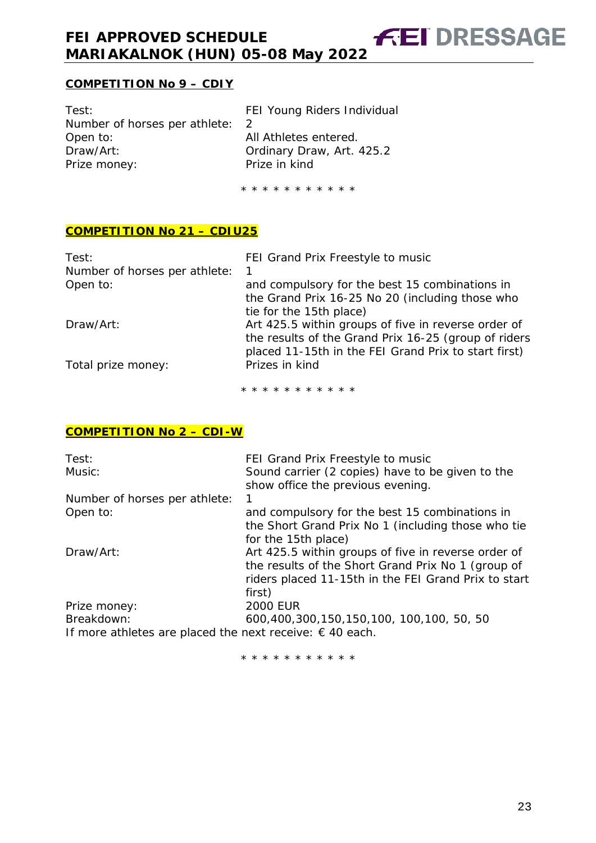# **COMPETITION No 9 – CDIY**

| Test:                         | FEI Young Riders Individual |
|-------------------------------|-----------------------------|
| Number of horses per athlete: |                             |
| Open to:                      | All Athletes entered.       |
| Draw/Art:                     | Ordinary Draw, Art. 425.2   |
| Prize money:                  | Prize in kind               |
|                               |                             |

\* \* \* \* \* \* \* \* \* \* \*

**FEI DRESSAGE** 

#### **COMPETITION No 21 – CDIU25**

| Test:<br>Number of horses per athlete:<br>Open to: | FEI Grand Prix Freestyle to music<br>and compulsory for the best 15 combinations in                                                                                 |
|----------------------------------------------------|---------------------------------------------------------------------------------------------------------------------------------------------------------------------|
|                                                    | the Grand Prix 16-25 No 20 (including those who<br>tie for the 15th place)                                                                                          |
| Draw/Art:                                          | Art 425.5 within groups of five in reverse order of<br>the results of the Grand Prix 16-25 (group of riders<br>placed 11-15th in the FEI Grand Prix to start first) |
| Total prize money:                                 | Prizes in kind                                                                                                                                                      |

\* \* \* \* \* \* \* \* \* \* \*

#### **COMPETITION No 2 – CDI-W**

| Test:                                                             | FEI Grand Prix Freestyle to music                    |
|-------------------------------------------------------------------|------------------------------------------------------|
| Music:                                                            | Sound carrier (2 copies) have to be given to the     |
|                                                                   | show office the previous evening.                    |
| Number of horses per athlete:                                     |                                                      |
| Open to:                                                          | and compulsory for the best 15 combinations in       |
|                                                                   | the Short Grand Prix No 1 (including those who tie   |
|                                                                   | for the 15th place)                                  |
| Draw/Art:                                                         | Art 425.5 within groups of five in reverse order of  |
|                                                                   | the results of the Short Grand Prix No 1 (group of   |
|                                                                   | riders placed 11-15th in the FEI Grand Prix to start |
|                                                                   | first)                                               |
| Prize money:                                                      | <b>2000 EUR</b>                                      |
| Breakdown:                                                        | 600,400,300,150,150,100, 100,100, 50, 50             |
| If more athletes are placed the next receive: $\epsilon$ 40 each. |                                                      |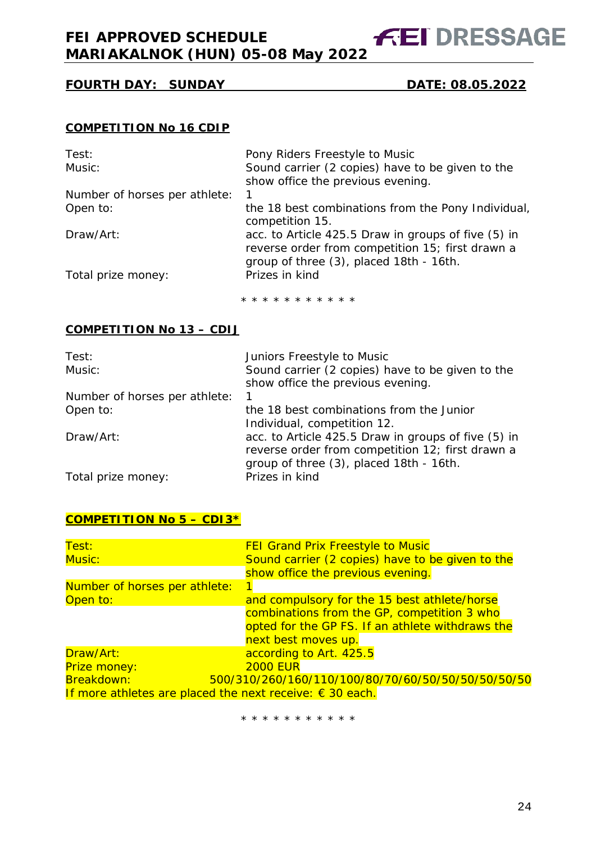**FEI DRESSAGE** 

# **FOURTH DAY: SUNDAY DATE: 08.05.2022**

#### **COMPETITION No 16 CDIP**

| Test:                         | Pony Riders Freestyle to Music                                                                                                                     |
|-------------------------------|----------------------------------------------------------------------------------------------------------------------------------------------------|
| Music:                        | Sound carrier (2 copies) have to be given to the                                                                                                   |
|                               | show office the previous evening.                                                                                                                  |
| Number of horses per athlete: | 1                                                                                                                                                  |
| Open to:                      | the 18 best combinations from the Pony Individual,<br>competition 15.                                                                              |
| Draw/Art:                     | acc. to Article 425.5 Draw in groups of five (5) in<br>reverse order from competition 15; first drawn a<br>group of three (3), placed 18th - 16th. |
| Total prize money:            | Prizes in kind                                                                                                                                     |

\* \* \* \* \* \* \* \* \* \* \*

#### **COMPETITION No 13 – CDIJ**

| Test:                         | Juniors Freestyle to Music                                                            |
|-------------------------------|---------------------------------------------------------------------------------------|
| Music:                        | Sound carrier (2 copies) have to be given to the<br>show office the previous evening. |
| Number of horses per athlete: | 1                                                                                     |
| Open to:                      | the 18 best combinations from the Junior                                              |
|                               | Individual, competition 12.                                                           |
| Draw/Art:                     | acc. to Article 425.5 Draw in groups of five (5) in                                   |
|                               | reverse order from competition 12; first drawn a                                      |
|                               | group of three (3), placed 18th - 16th.                                               |
| Total prize money:            | Prizes in kind                                                                        |

#### **COMPETITION No 5 – CDI3\***

| Test:<br>Music:                                                   | <b>FEI Grand Prix Freestyle to Music</b><br>Sound carrier (2 copies) have to be given to the |
|-------------------------------------------------------------------|----------------------------------------------------------------------------------------------|
|                                                                   | show office the previous evening.                                                            |
| Number of horses per athlete:                                     |                                                                                              |
| Open to:                                                          | and compulsory for the 15 best athlete/horse                                                 |
|                                                                   | combinations from the GP, competition 3 who                                                  |
|                                                                   | opted for the GP FS. If an athlete withdraws the                                             |
|                                                                   | next best moves up.                                                                          |
| Draw/Art:                                                         | according to Art. 425.5                                                                      |
| Prize money:                                                      | <b>2000 EUR</b>                                                                              |
| Breakdown:                                                        | 500/310/260/160/110/100/80/70/60/50/50/50/50/50/50                                           |
| If more athletes are placed the next receive: $\epsilon$ 30 each. |                                                                                              |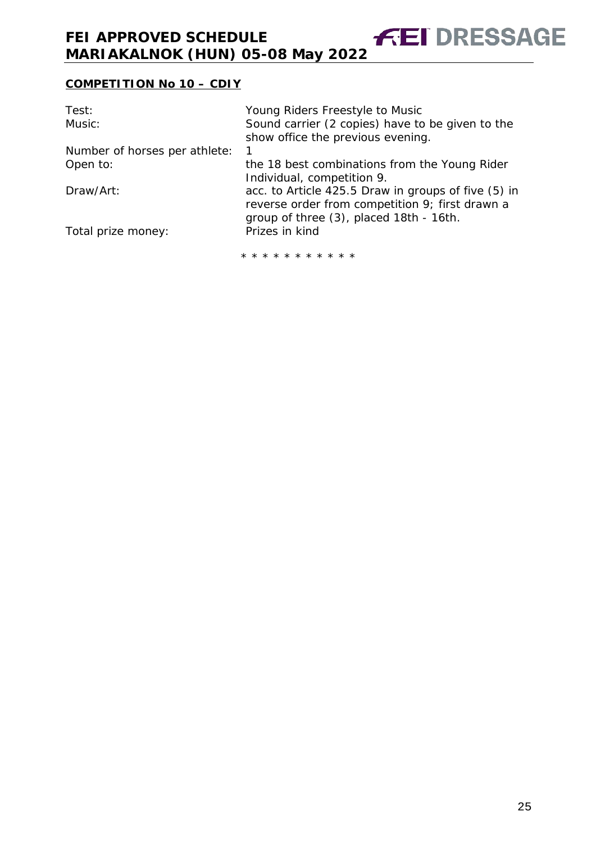# **COMPETITION No 10 – CDIY**

| Test:                         | Young Riders Freestyle to Music                     |
|-------------------------------|-----------------------------------------------------|
| Music:                        | Sound carrier (2 copies) have to be given to the    |
|                               | show office the previous evening.                   |
| Number of horses per athlete: |                                                     |
| Open to:                      | the 18 best combinations from the Young Rider       |
|                               | Individual, competition 9.                          |
| Draw/Art:                     | acc. to Article 425.5 Draw in groups of five (5) in |
|                               | reverse order from competition 9; first drawn a     |
|                               | group of three (3), placed 18th - 16th.             |
| Total prize money:            | Prizes in kind                                      |
|                               | * * * * * * * * * * *                               |
|                               |                                                     |

**FEI DRESSAGE** 

25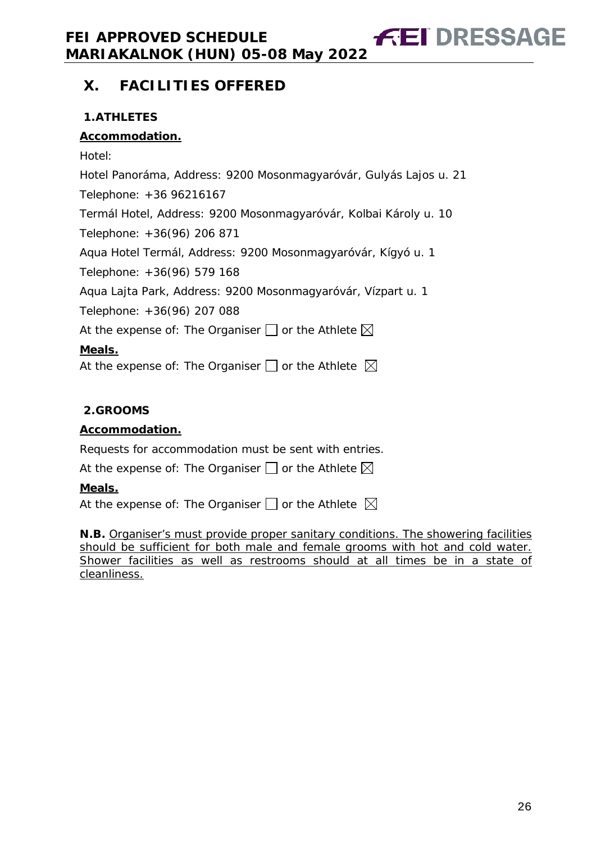# <span id="page-25-0"></span>**X. FACILITIES OFFERED**

# <span id="page-25-1"></span>**1.ATHLETES**

# **Accommodation.**

Hotel: Hotel Panoráma, Address: 9200 Mosonmagyaróvár, Gulyás Lajos u. 21 Telephone: +36 96216167 Termál Hotel, Address: 9200 Mosonmagyaróvár, Kolbai Károly u. 10 Telephone: +36(96) 206 871 Aqua Hotel Termál, Address: 9200 Mosonmagyaróvár, Kígyó u. 1 Telephone: +36(96) 579 168 Aqua Lajta Park, Address: 9200 Mosonmagyaróvár, Vízpart u. 1 Telephone: +36(96) 207 088 At the expense of: The Organiser  $\Box$  or the Athlete  $\boxtimes$ **Meals.** At the expense of: The Organiser  $\square$  or the Athlete  $\boxtimes$ 

## <span id="page-25-2"></span>**2.GROOMS**

## **Accommodation.**

Requests for accommodation must be sent with entries.

At the expense of: The Organiser  $\Box$  or the Athlete  $\boxtimes$ 

## **Meals.**

At the expense of: The Organiser  $\Box$  or the Athlete  $\boxtimes$ 

<span id="page-25-3"></span>**N.B.** Organiser's must provide proper sanitary conditions. The showering facilities should be sufficient for both male and female grooms with hot and cold water. Shower facilities as well as restrooms should at all times be in a state of cleanliness.

**FEI DRESSAGE**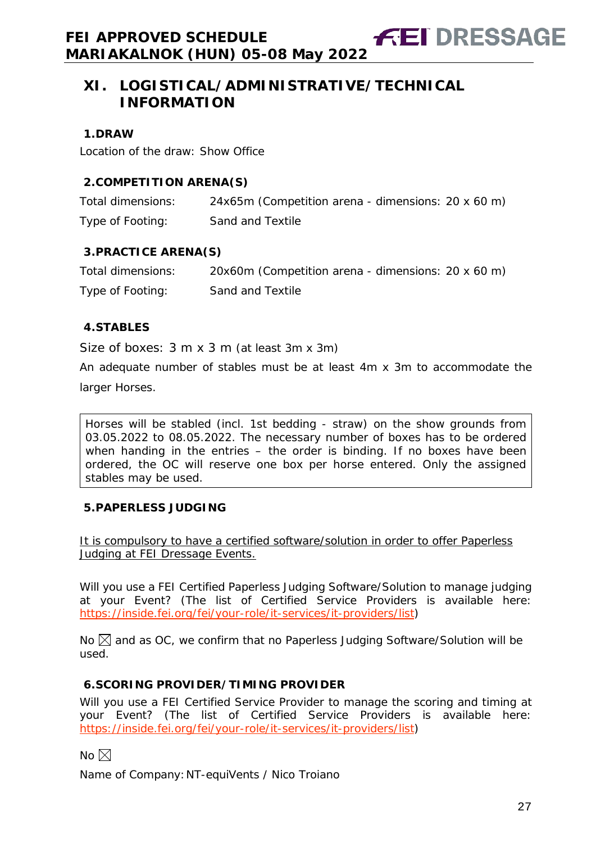**FEI DRESSAGE** 

#### <span id="page-26-0"></span>**1.DRAW**

Location of the draw: Show Office

## <span id="page-26-1"></span>**2.COMPETITION ARENA(S)**

| Total dimensions: | 24x65m (Competition arena - dimensions: 20 x 60 m) |
|-------------------|----------------------------------------------------|
| Type of Footing:  | Sand and Textile                                   |

## <span id="page-26-2"></span>**3.PRACTICE ARENA(S)**

| Total dimensions: | 20x60m (Competition arena - dimensions: 20 x 60 m) |
|-------------------|----------------------------------------------------|
| Type of Footing:  | Sand and Textile                                   |

## <span id="page-26-3"></span>**4.STABLES**

Size of boxes: 3 m x 3 m (at least 3m x 3m)

An adequate number of stables must be at least 4m x 3m to accommodate the larger Horses.

Horses will be stabled (incl. 1st bedding - straw) on the show grounds from 03.05.2022 to 08.05.2022. The necessary number of boxes has to be ordered when handing in the entries – the order is binding. If no boxes have been ordered, the OC will reserve one box per horse entered. Only the assigned stables may be used.

## <span id="page-26-4"></span>**5.PAPERLESS JUDGING**

It is compulsory to have a certified software/solution in order to offer Paperless Judging at FEI Dressage Events.

Will you use a FEI Certified Paperless Judging Software/Solution to manage judging at your Event? (The list of Certified Service Providers is available here: [https://inside.fei.org/fei/your-role/it-services/it-providers/list\)](https://inside.fei.org/fei/your-role/it-services/it-providers/list)

No  $\boxtimes$  and as OC, we confirm that no Paperless Judging Software/Solution will be used.

## <span id="page-26-5"></span>**6.SCORING PROVIDER/TIMING PROVIDER**

Will you use a FEI Certified Service Provider to manage the scoring and timing at your Event? (The list of Certified Service Providers is available here: [https://inside.fei.org/fei/your-role/it-services/it-providers/list\)](https://inside.fei.org/fei/your-role/it-services/it-providers/list)

No  $\boxtimes$ 

Name of Company:NT-equiVents / Nico Troiano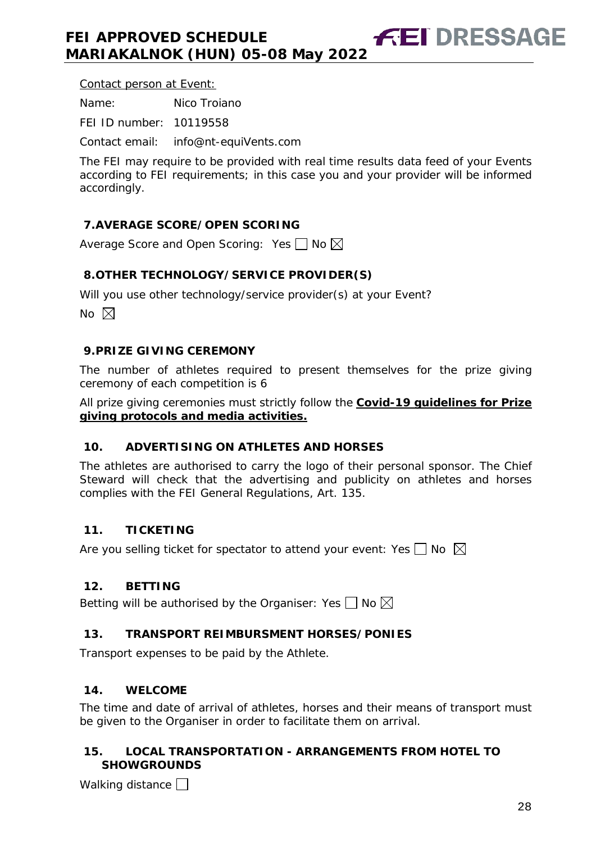Contact person at Event:

Name: Nico Troiano

FEI ID number: 10119558

Contact email: info@nt-equiVents.com

The FEI may require to be provided with real time results data feed of your Events according to FEI requirements; in this case you and your provider will be informed accordingly.

# <span id="page-27-0"></span>**7.AVERAGE SCORE/OPEN SCORING**

Average Score and Open Scoring: Yes  $\Box$  No  $\boxtimes$ 

# <span id="page-27-1"></span>**8.OTHER TECHNOLOGY/SERVICE PROVIDER(S)**

Will you use other technology/service provider(s) at your Event?

No  $\boxtimes$ 

## <span id="page-27-2"></span>**9.PRIZE GIVING CEREMONY**

The number of athletes required to present themselves for the prize giving ceremony of each competition is 6

All prize giving ceremonies must strictly follow the **Covid-19 guidelines for Prize giving protocols and media activities.**

## <span id="page-27-3"></span>**10. ADVERTISING ON ATHLETES AND HORSES**

The athletes are authorised to carry the logo of their personal sponsor. The Chief Steward will check that the advertising and publicity on athletes and horses complies with the FEI General Regulations, Art. 135.

## <span id="page-27-4"></span>**11. TICKETING**

Are you selling ticket for spectator to attend your event: Yes  $\Box$  No  $\boxtimes$ 

# <span id="page-27-5"></span>**12. BETTING**

Betting will be authorised by the Organiser: Yes  $\Box$  No  $\boxtimes$ 

# <span id="page-27-6"></span>**13. TRANSPORT REIMBURSMENT HORSES/PONIES**

Transport expenses to be paid by the Athlete.

## <span id="page-27-7"></span>**14. WELCOME**

The time and date of arrival of athletes, horses and their means of transport must be given to the Organiser in order to facilitate them on arrival.

## <span id="page-27-8"></span>**15. LOCAL TRANSPORTATION - ARRANGEMENTS FROM HOTEL TO SHOWGROUNDS**

Walking distance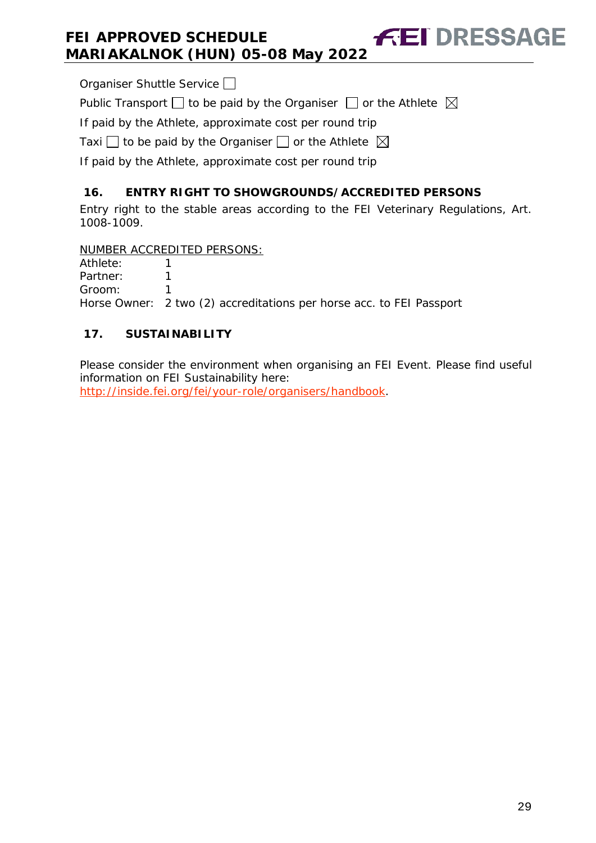Organiser Shuttle Service  $\Box$ 

Public Transport  $\Box$  to be paid by the Organiser  $\Box$  or the Athlete  $\boxtimes$ 

If paid by the Athlete, approximate cost per round trip

Taxi  $\Box$  to be paid by the Organiser  $\Box$  or the Athlete  $\boxtimes$ 

If paid by the Athlete, approximate cost per round trip

# <span id="page-28-0"></span>**16. ENTRY RIGHT TO SHOWGROUNDS/ACCREDITED PERSONS**

Entry right to the stable areas according to the FEI Veterinary Regulations, Art. 1008-1009.

**FEI DRESSAGE** 

NUMBER ACCREDITED PERSONS:

Athlete: 1 Partner: 1 Groom: 1 Horse Owner: 2 two (2) accreditations per horse acc. to FEI Passport

# <span id="page-28-1"></span>**17. SUSTAINABILITY**

Please consider the environment when organising an FEI Event. Please find useful information on FEI Sustainability here:

[http://inside.fei.org/fei/your-role/organisers/handbook.](http://inside.fei.org/fei/your-role/organisers/handbook)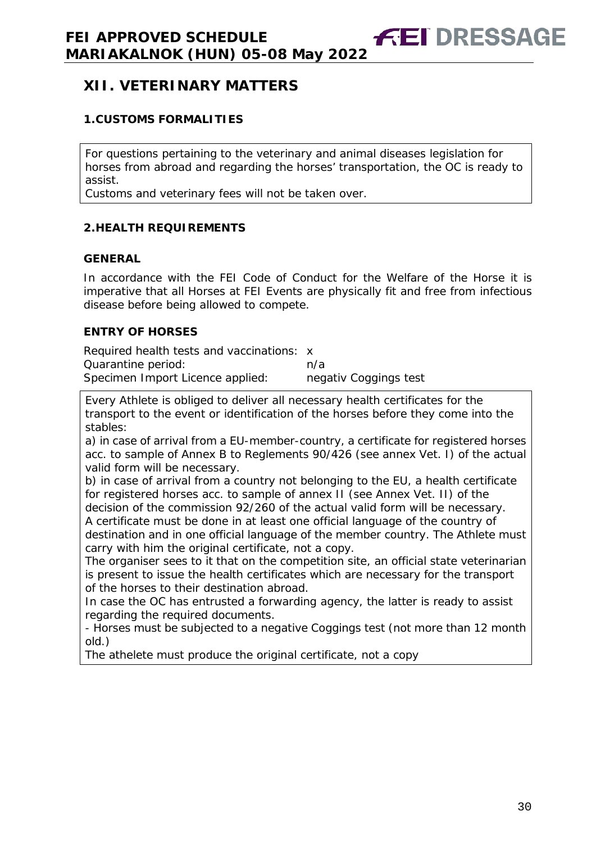# <span id="page-29-0"></span>**XII. VETERINARY MATTERS**

## <span id="page-29-1"></span>**1.CUSTOMS FORMALITIES**

For questions pertaining to the veterinary and animal diseases legislation for horses from abroad and regarding the horses' transportation, the OC is ready to assist.

Customs and veterinary fees will not be taken over.

#### <span id="page-29-2"></span>**2.HEALTH REQUIREMENTS**

#### **GENERAL**

In accordance with the FEI Code of Conduct for the Welfare of the Horse it is imperative that all Horses at FEI Events are physically fit and free from infectious disease before being allowed to compete.

## **ENTRY OF HORSES**

Required health tests and vaccinations: x Quarantine period: https://www.facebook.com/a Specimen Import Licence applied: negativ Coggings test

Every Athlete is obliged to deliver all necessary health certificates for the transport to the event or identification of the horses before they come into the stables:

a) in case of arrival from a EU-member-country, a certificate for registered horses acc. to sample of Annex B to Reglements 90/426 (see annex Vet. I) of the actual valid form will be necessary.

b) in case of arrival from a country not belonging to the EU, a health certificate for registered horses acc. to sample of annex II (see Annex Vet. II) of the decision of the commission 92/260 of the actual valid form will be necessary. A certificate must be done in at least one official language of the country of

destination and in one official language of the member country. The Athlete must carry with him the original certificate, not a copy.

The organiser sees to it that on the competition site, an official state veterinarian is present to issue the health certificates which are necessary for the transport of the horses to their destination abroad.

In case the OC has entrusted a forwarding agency, the latter is ready to assist regarding the required documents.

- Horses must be subjected to a negative Coggings test (not more than 12 month old.)

<span id="page-29-3"></span>The athelete must produce the original certificate, not a copy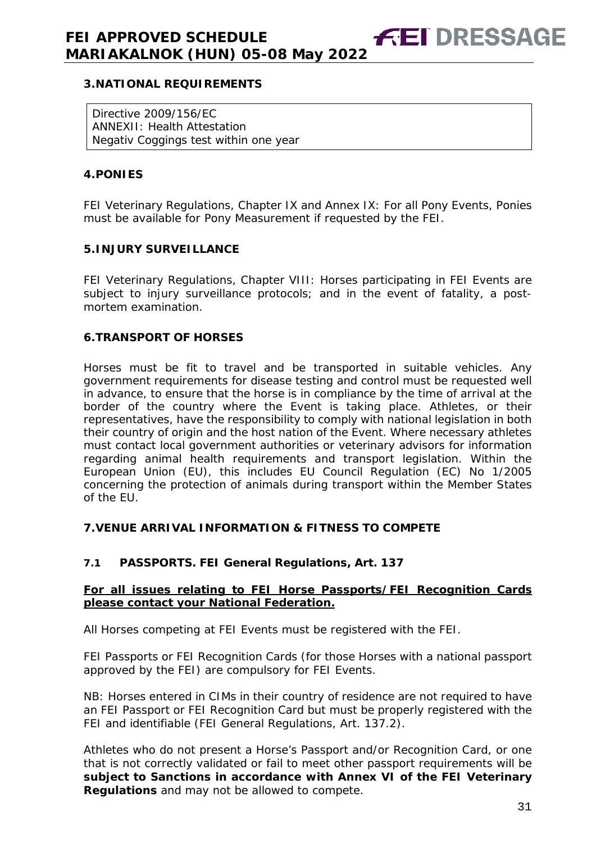#### **3.NATIONAL REQUIREMENTS**

Directive 2009/156/EC ANNEXII: Health Attestation Negativ Coggings test within one year

#### <span id="page-30-0"></span>**4.PONIES**

FEI Veterinary Regulations, Chapter IX and Annex IX: For all Pony Events, Ponies must be available for Pony Measurement if requested by the FEI.

#### <span id="page-30-1"></span>**5.INJURY SURVEILLANCE**

FEI Veterinary Regulations, Chapter VIII: Horses participating in FEI Events are subject to injury surveillance protocols; and in the event of fatality, a postmortem examination.

#### <span id="page-30-2"></span>**6.TRANSPORT OF HORSES**

Horses must be fit to travel and be transported in suitable vehicles. Any government requirements for disease testing and control must be requested well in advance, to ensure that the horse is in compliance by the time of arrival at the border of the country where the Event is taking place. Athletes, or their representatives, have the responsibility to comply with national legislation in both their country of origin and the host nation of the Event. Where necessary athletes must contact local government authorities or veterinary advisors for information regarding animal health requirements and transport legislation. Within the European Union (EU), this includes EU Council Regulation (EC) No 1/2005 concerning the protection of animals during transport within the Member States of the EU.

#### <span id="page-30-3"></span>**7.VENUE ARRIVAL INFORMATION & FITNESS TO COMPETE**

## **7.1 PASSPORTS. FEI General Regulations, Art. 137**

#### **For all issues relating to FEI Horse Passports/FEI Recognition Cards please contact your National Federation.**

All Horses competing at FEI Events must be registered with the FEI.

FEI Passports or FEI Recognition Cards (for those Horses with a national passport approved by the FEI) are compulsory for FEI Events.

NB: Horses entered in CIMs in their country of residence are not required to have an FEI Passport or FEI Recognition Card but must be properly registered with the FEI and identifiable (FEI General Regulations, Art. 137.2).

Athletes who do not present a Horse's Passport and/or Recognition Card, or one that is not correctly validated or fail to meet other passport requirements will be **subject to Sanctions in accordance with Annex VI of the FEI Veterinary Regulations** and may not be allowed to compete.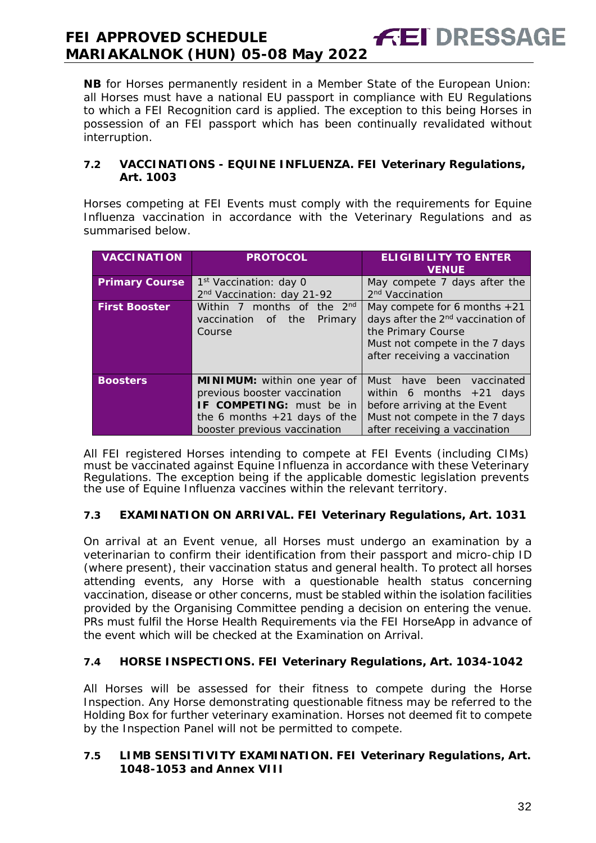**NB** for Horses permanently resident in a Member State of the European Union: all Horses must have a national EU passport in compliance with EU Regulations to which a FEI Recognition card is applied. The exception to this being Horses in possession of an FEI passport which has been continually revalidated without interruption.

**FEI DRESSAGE** 

#### **7.2 VACCINATIONS - EQUINE INFLUENZA. FEI Veterinary Regulations, Art. 1003**

Horses competing at FEI Events must comply with the requirements for Equine Influenza vaccination in accordance with the Veterinary Regulations and as summarised below.

| <b>VACCINATION</b>    | <b>PROTOCOL</b>                                                                                                                                                         | <b>ELIGIBILITY TO ENTER</b><br><b>VENUE</b>                                                                                                                              |
|-----------------------|-------------------------------------------------------------------------------------------------------------------------------------------------------------------------|--------------------------------------------------------------------------------------------------------------------------------------------------------------------------|
| <b>Primary Course</b> | 1 <sup>st</sup> Vaccination: day 0                                                                                                                                      | May compete 7 days after the                                                                                                                                             |
|                       | 2 <sup>nd</sup> Vaccination: day 21-92                                                                                                                                  | 2 <sup>nd</sup> Vaccination                                                                                                                                              |
| <b>First Booster</b>  | Within 7 months of the 2 <sup>nd</sup><br>vaccination<br>the<br>Primary<br>of<br>Course                                                                                 | May compete for 6 months $+21$<br>days after the 2 <sup>nd</sup> vaccination of<br>the Primary Course<br>Must not compete in the 7 days<br>after receiving a vaccination |
| <b>Boosters</b>       | <b>MINIMUM:</b> within one year of<br>previous booster vaccination<br><b>IF COMPETING:</b> must be in<br>the 6 months $+21$ days of the<br>booster previous vaccination | been<br>Must<br>have<br>vaccinated<br>within 6 months $+21$ days<br>before arriving at the Event<br>Must not compete in the 7 days<br>after receiving a vaccination      |

All FEI registered Horses intending to compete at FEI Events (including CIMs) must be vaccinated against Equine Influenza in accordance with these Veterinary Regulations. The exception being if the applicable domestic legislation prevents the use of Equine Influenza vaccines within the relevant territory.

## **7.3 EXAMINATION ON ARRIVAL. FEI Veterinary Regulations, Art. 1031**

On arrival at an Event venue, all Horses must undergo an examination by a veterinarian to confirm their identification from their passport and micro-chip ID (where present), their vaccination status and general health. To protect all horses attending events, any Horse with a questionable health status concerning vaccination, disease or other concerns, must be stabled within the isolation facilities provided by the Organising Committee pending a decision on entering the venue. PRs must fulfil the Horse Health Requirements via the FEI HorseApp in advance of the event which will be checked at the Examination on Arrival.

## **7.4 HORSE INSPECTIONS. FEI Veterinary Regulations, Art. 1034-1042**

All Horses will be assessed for their fitness to compete during the Horse Inspection. Any Horse demonstrating questionable fitness may be referred to the Holding Box for further veterinary examination. Horses not deemed fit to compete by the Inspection Panel will not be permitted to compete.

#### **7.5 LIMB SENSITIVITY EXAMINATION. FEI Veterinary Regulations, Art. 1048-1053 and Annex VIII**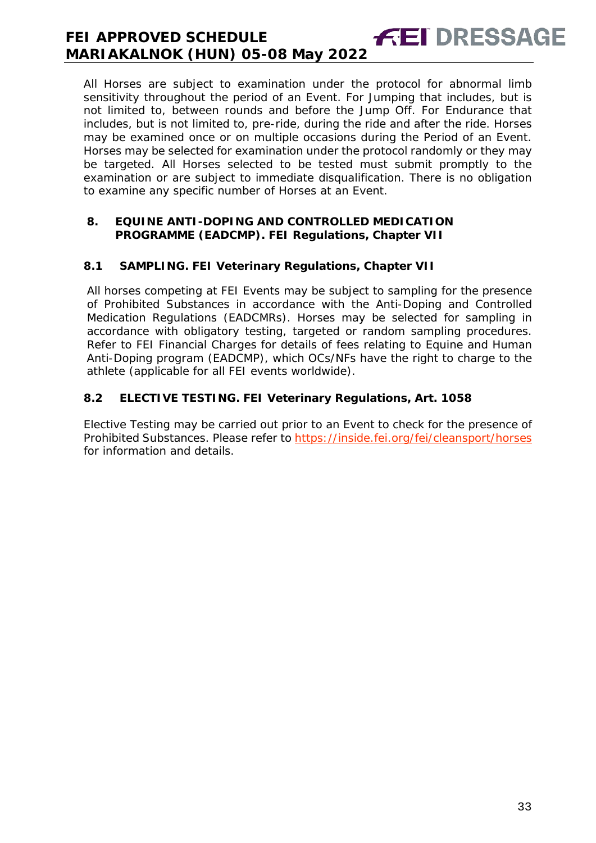All Horses are subject to examination under the protocol for abnormal limb sensitivity throughout the period of an Event. For Jumping that includes, but is not limited to, between rounds and before the Jump Off. For Endurance that includes, but is not limited to, pre-ride, during the ride and after the ride. Horses may be examined once or on multiple occasions during the Period of an Event. Horses may be selected for examination under the protocol randomly or they may be targeted. All Horses selected to be tested must submit promptly to the examination or are subject to immediate disqualification. There is no obligation to examine any specific number of Horses at an Event.

**FEI DRESSAGE** 

#### <span id="page-32-0"></span>**8. EQUINE ANTI-DOPING AND CONTROLLED MEDICATION PROGRAMME (EADCMP). FEI Regulations, Chapter VII**

## **8.1 SAMPLING. FEI Veterinary Regulations, Chapter VII**

All horses competing at FEI Events may be subject to sampling for the presence of Prohibited Substances in accordance with the Anti-Doping and Controlled Medication Regulations (EADCMRs). Horses may be selected for sampling in accordance with obligatory testing, targeted or random sampling procedures. Refer to FEI Financial Charges for details of fees relating to Equine and Human Anti-Doping program (EADCMP), which OCs/NFs have the right to charge to the athlete (applicable for all FEI events worldwide).

## **8.2 ELECTIVE TESTING. FEI Veterinary Regulations, Art. 1058**

<span id="page-32-1"></span>Elective Testing may be carried out prior to an Event to check for the presence of Prohibited Substances. Please refer to https://inside.fei.org/fei/cleansport/horses for information and details.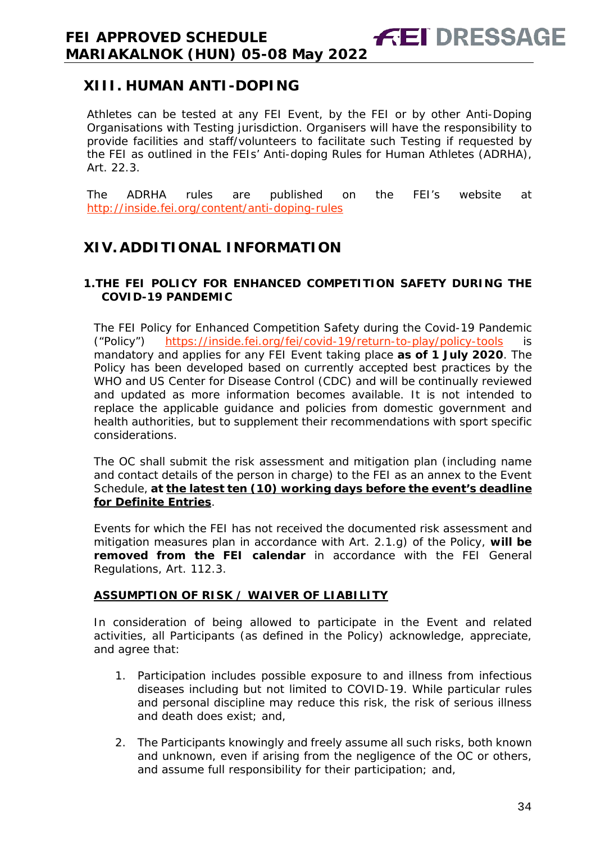# **XIII. HUMAN ANTI-DOPING**

Athletes can be tested at any FEI Event, by the FEI or by other Anti-Doping Organisations with Testing jurisdiction. Organisers will have the responsibility to provide facilities and staff/volunteers to facilitate such Testing if requested by the FEI as outlined in the FEIs' Anti-doping Rules for Human Athletes (ADRHA), Art. 22.3.

**FEI DRESSAGE** 

The ADRHA rules are published on the FEI's website at <http://inside.fei.org/content/anti-doping-rules>

# <span id="page-33-0"></span>**XIV. ADDITIONAL INFORMATION**

## <span id="page-33-1"></span>**1.THE FEI POLICY FOR ENHANCED COMPETITION SAFETY DURING THE COVID-19 PANDEMIC**

The FEI Policy for Enhanced Competition Safety during the Covid-19 Pandemic ("Policy") <https://inside.fei.org/fei/covid-19/return-to-play/policy-tools> is mandatory and applies for any FEI Event taking place **as of 1 July 2020**. The Policy has been developed based on currently accepted best practices by the WHO and US Center for Disease Control (CDC) and will be continually reviewed and updated as more information becomes available. It is not intended to replace the applicable guidance and policies from domestic government and health authorities, but to supplement their recommendations with sport specific considerations.

The OC shall submit the risk assessment and mitigation plan (including name and contact details of the person in charge) to the FEI as an annex to the Event Schedule, **at the latest ten (10) working days before the event's deadline for Definite Entries**.

Events for which the FEI has not received the documented risk assessment and mitigation measures plan in accordance with Art. 2.1.g) of the Policy, **will be removed from the FEI calendar** in accordance with the FEI General Regulations, Art. 112.3.

## **ASSUMPTION OF RISK / WAIVER OF LIABILITY**

In consideration of being allowed to participate in the Event and related activities, all Participants (as defined in the Policy) acknowledge, appreciate, and agree that:

- 1. Participation includes possible exposure to and illness from infectious diseases including but not limited to COVID-19. While particular rules and personal discipline may reduce this risk, the risk of serious illness and death does exist; and,
- 2. The Participants knowingly and freely assume all such risks, both known and unknown, even if arising from the negligence of the OC or others, and assume full responsibility for their participation; and,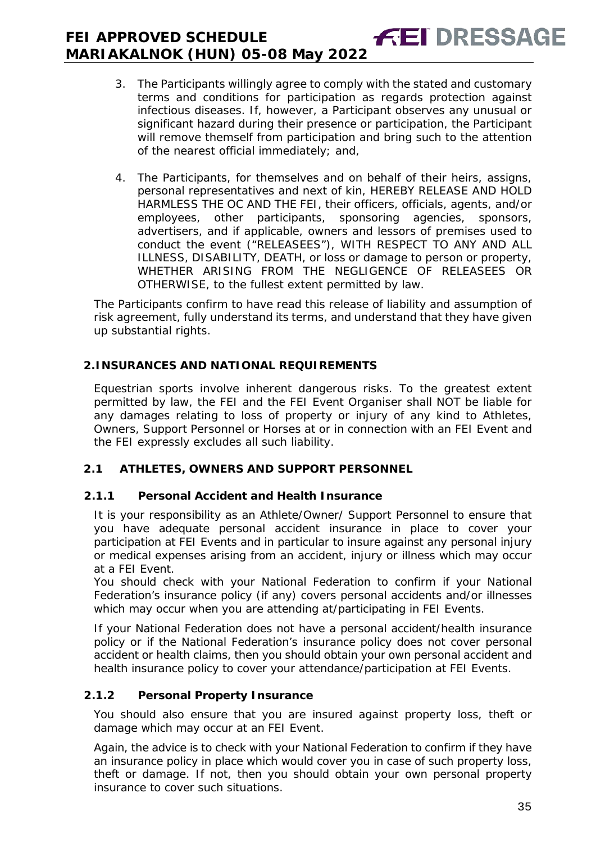#### **FEI DRESSAGE FEI APPROVED SCHEDULE MARIAKALNOK (HUN) 05-08 May 2022**

- 3. The Participants willingly agree to comply with the stated and customary terms and conditions for participation as regards protection against infectious diseases. If, however, a Participant observes any unusual or significant hazard during their presence or participation, the Participant will remove themself from participation and bring such to the attention of the nearest official immediately; and,
- 4. The Participants, for themselves and on behalf of their heirs, assigns, personal representatives and next of kin, HEREBY RELEASE AND HOLD HARMLESS THE OC AND THE FEI, their officers, officials, agents, and/or employees, other participants, sponsoring agencies, sponsors, advertisers, and if applicable, owners and lessors of premises used to conduct the event ("RELEASEES"), WITH RESPECT TO ANY AND ALL ILLNESS, DISABILITY, DEATH, or loss or damage to person or property, WHETHER ARISING FROM THE NEGLIGENCE OF RELEASEES OR OTHERWISE, to the fullest extent permitted by law.

The Participants confirm to have read this release of liability and assumption of risk agreement, fully understand its terms, and understand that they have given up substantial rights.

# <span id="page-34-0"></span>**2.INSURANCES AND NATIONAL REQUIREMENTS**

Equestrian sports involve inherent dangerous risks. To the greatest extent permitted by law, the FEI and the FEI Event Organiser shall NOT be liable for any damages relating to loss of property or injury of any kind to Athletes, Owners, Support Personnel or Horses at or in connection with an FEI Event and the FEI expressly excludes all such liability.

# **2.1 ATHLETES, OWNERS AND SUPPORT PERSONNEL**

# **2.1.1 Personal Accident and Health Insurance**

It is your responsibility as an Athlete/Owner/ Support Personnel to ensure that you have adequate personal accident insurance in place to cover your participation at FEI Events and in particular to insure against any personal injury or medical expenses arising from an accident, injury or illness which may occur at a FEI Event.

You should check with your National Federation to confirm if your National Federation's insurance policy (if any) covers personal accidents and/or illnesses which may occur when you are attending at/participating in FEI Events.

If your National Federation does not have a personal accident/health insurance policy or if the National Federation's insurance policy does not cover personal accident or health claims, then you should obtain your own personal accident and health insurance policy to cover your attendance/participation at FEI Events.

# **2.1.2 Personal Property Insurance**

You should also ensure that you are insured against property loss, theft or damage which may occur at an FEI Event.

Again, the advice is to check with your National Federation to confirm if they have an insurance policy in place which would cover you in case of such property loss, theft or damage. If not, then you should obtain your own personal property insurance to cover such situations.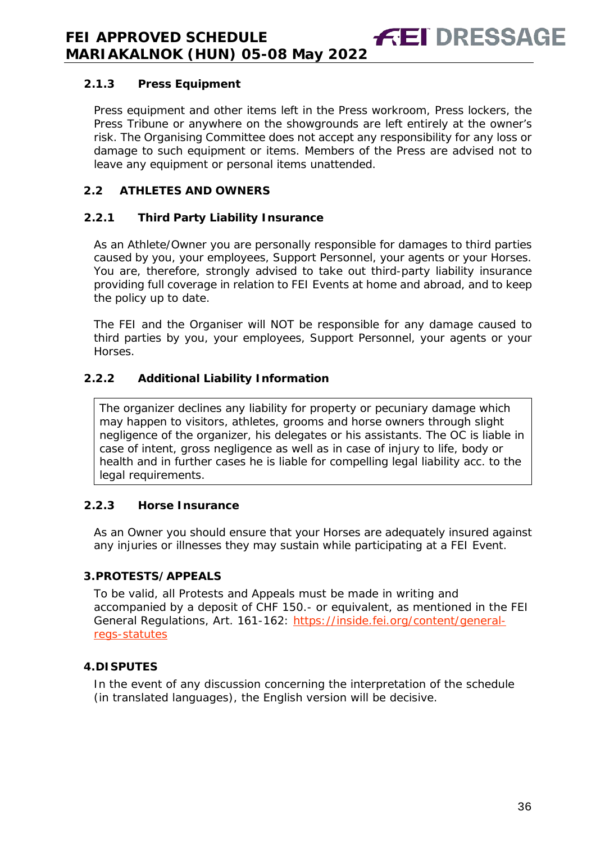## **2.1.3 Press Equipment**

Press equipment and other items left in the Press workroom, Press lockers, the Press Tribune or anywhere on the showgrounds are left entirely at the owner's risk. The Organising Committee does not accept any responsibility for any loss or damage to such equipment or items. Members of the Press are advised not to leave any equipment or personal items unattended.

**FEI DRESSA** 

## **2.2 ATHLETES AND OWNERS**

## **2.2.1 Third Party Liability Insurance**

As an Athlete/Owner you are personally responsible for damages to third parties caused by you, your employees, Support Personnel, your agents or your Horses. You are, therefore, strongly advised to take out third-party liability insurance providing full coverage in relation to FEI Events at home and abroad, and to keep the policy up to date.

The FEI and the Organiser will NOT be responsible for any damage caused to third parties by you, your employees, Support Personnel, your agents or your Horses.

## **2.2.2 Additional Liability Information**

The organizer declines any liability for property or pecuniary damage which may happen to visitors, athletes, grooms and horse owners through slight negligence of the organizer, his delegates or his assistants. The OC is liable in case of intent, gross negligence as well as in case of injury to life, body or health and in further cases he is liable for compelling legal liability acc. to the legal requirements.

## **2.2.3 Horse Insurance**

As an Owner you should ensure that your Horses are adequately insured against any injuries or illnesses they may sustain while participating at a FEI Event.

## <span id="page-35-0"></span>**3.PROTESTS/APPEALS**

To be valid, all Protests and Appeals must be made in writing and accompanied by a deposit of CHF 150.- or equivalent, as mentioned in the FEI General Regulations, Art. 161-162: [https://inside.fei.org/content/general](https://inside.fei.org/content/general-regs-statutes)[regs-statutes](https://inside.fei.org/content/general-regs-statutes)

## <span id="page-35-1"></span>**4.DISPUTES**

<span id="page-35-2"></span>In the event of any discussion concerning the interpretation of the schedule (in translated languages), the English version will be decisive.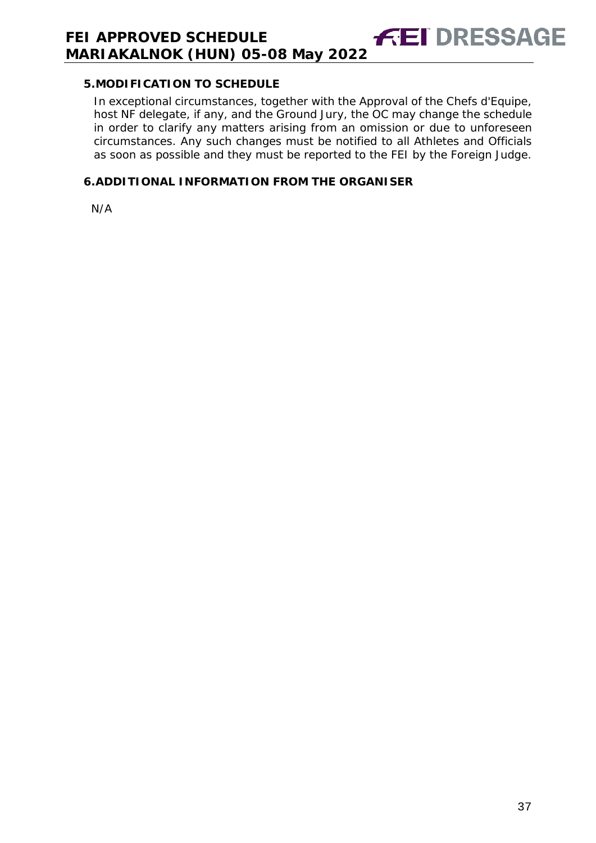## **5.MODIFICATION TO SCHEDULE**

In exceptional circumstances, together with the Approval of the Chefs d'Equipe, host NF delegate, if any, and the Ground Jury, the OC may change the schedule in order to clarify any matters arising from an omission or due to unforeseen circumstances. Any such changes must be notified to all Athletes and Officials as soon as possible and they must be reported to the FEI by the Foreign Judge.

**FEI DRESSAGE** 

## <span id="page-36-0"></span>**6.ADDITIONAL INFORMATION FROM THE ORGANISER**

N/A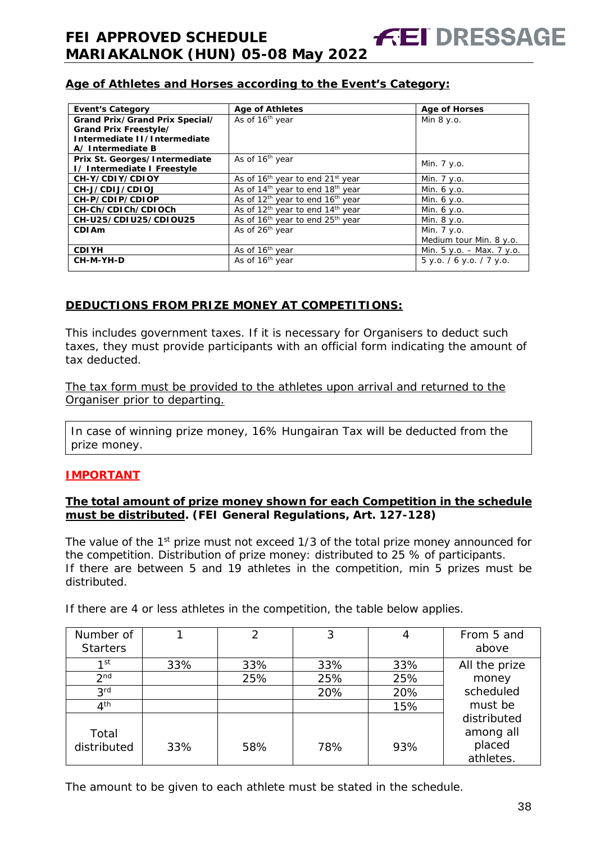## **Age of Athletes and Horses according to the Event's Category:**

| <b>Event's Category</b>        | <b>Age of Athletes</b>                                   | <b>Age of Horses</b>        |
|--------------------------------|----------------------------------------------------------|-----------------------------|
| Grand Prix/Grand Prix Special/ | As of 16 <sup>th</sup> year                              | Min 8 y.o.                  |
| Grand Prix Freestyle/          |                                                          |                             |
| Intermediate II/Intermediate   |                                                          |                             |
| A/Intermediate B               |                                                          |                             |
| Prix St. Georges/Intermediate  | As of 16 <sup>th</sup> year                              |                             |
| I/ Intermediate I Freestyle    |                                                          | Min. 7 y.o.                 |
| CH-Y/CDIY/CDIOY                | As of 16 <sup>th</sup> year to end 21 <sup>st</sup> year | Min. 7 y.o.                 |
| CH-J/CDIJ/CDIOJ                | As of $14th$ year to end $18th$ year                     | Min. 6 y.o.                 |
| CH-P/CDIP/CDIOP                | As of $12th$ year to end $16th$ year                     | Min. 6 y.o.                 |
| CH-Ch/CDICh/CDIOCh             | As of 12 <sup>th</sup> year to end 14 <sup>th</sup> year | Min. 6 y.o.                 |
| CH-U25/CDIU25/CDIOU25          | As of 16 <sup>th</sup> year to end 25 <sup>th</sup> year | Min. 8 y.o.                 |
| <b>CDIAm</b>                   | As of 26 <sup>th</sup> year                              | Min. 7 y.o.                 |
|                                |                                                          | Medium tour Min. 8 y.o.     |
| <b>CDIYH</b>                   | As of 16 <sup>th</sup> year                              | Min. $5 y.o. - Max. 7 y.o.$ |
| CH-M-YH-D                      | As of 16 <sup>th</sup> year                              | 5 y.o. / 6 y.o. / 7 y.o.    |
|                                |                                                          |                             |

#### **DEDUCTIONS FROM PRIZE MONEY AT COMPETITIONS:**

This includes government taxes. If it is necessary for Organisers to deduct such taxes, they must provide participants with an official form indicating the amount of tax deducted.

The tax form must be provided to the athletes upon arrival and returned to the Organiser prior to departing.

In case of winning prize money, 16% Hungairan Tax will be deducted from the prize money.

#### **IMPORTANT**

#### **The total amount of prize money shown for each Competition in the schedule must be distributed. (FEI General Regulations, Art. 127-128)**

The value of the 1<sup>st</sup> prize must not exceed 1/3 of the total prize money announced for the competition. Distribution of prize money: distributed to 25 % of participants. If there are between 5 and 19 athletes in the competition, min 5 prizes must be distributed.

| Number of<br><b>Starters</b> |     | $\mathcal{P}$ | 3   |     | From 5 and<br>above      |
|------------------------------|-----|---------------|-----|-----|--------------------------|
| 1st                          | 33% | 33%           | 33% | 33% | All the prize            |
| 2 <sub>nd</sub>              |     | 25%           | 25% | 25% | money                    |
| 3 <sup>rd</sup>              |     |               | 20% | 20% | scheduled                |
| 4 <sup>th</sup>              |     |               |     | 15% | must be                  |
| Total                        |     |               |     |     | distributed<br>among all |
| distributed                  | 33% | 58%           | 78% | 93% | placed<br>athletes.      |

If there are 4 or less athletes in the competition, the table below applies.

The amount to be given to each athlete must be stated in the schedule.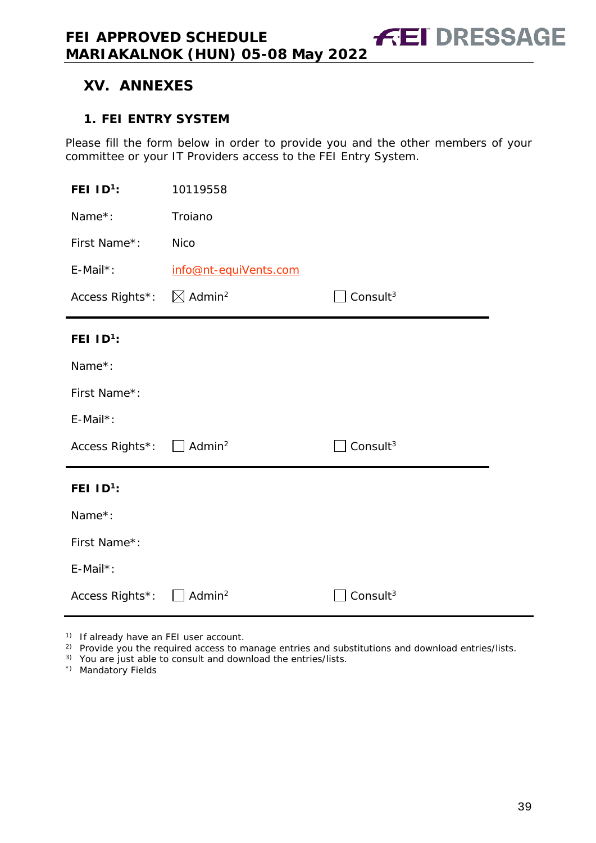# <span id="page-38-0"></span>**XV. ANNEXES**

## <span id="page-38-1"></span>**1. FEI ENTRY SYSTEM**

Please fill the form below in order to provide you and the other members of your committee or your IT Providers access to the FEI Entry System.

| FEI $ID^1$ :                         | 10119558               |                      |
|--------------------------------------|------------------------|----------------------|
| Name*:                               | Troiano                |                      |
| First Name*:                         | <b>Nico</b>            |                      |
| $E$ -Mail*:                          | info@nt-equiVents.com  |                      |
| Access Rights*:                      | $\boxtimes$ Admin $^2$ | Consult <sup>3</sup> |
| FEI $ID^1$ :                         |                        |                      |
| Name*:                               |                        |                      |
| First Name*:                         |                        |                      |
| E-Mail*:                             |                        |                      |
| Access Rights*: □ Admin <sup>2</sup> |                        | Consult <sup>3</sup> |
| FEI $ID^1$ :                         |                        |                      |
| Name*:                               |                        |                      |
| First Name*:                         |                        |                      |
| $E$ -Mail*:                          |                        |                      |
| Access Rights*:                      | Admin <sup>2</sup>     | Consult $3$          |

<sup>1)</sup> If already have an FEI user account.

<sup>2)</sup> Provide you the required access to manage entries and substitutions and download entries/lists.

3) You are just able to consult and download the entries/lists.

\*) Mandatory Fields